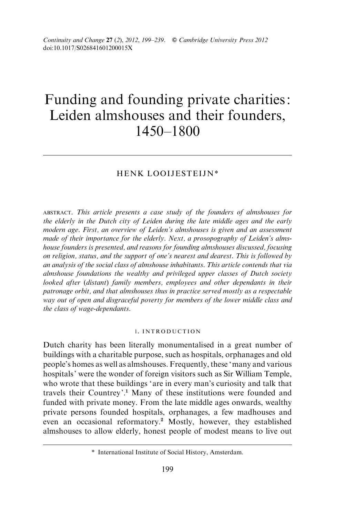# Funding and founding private charities: Leiden almshouses and their founders, 1450–1800

# HENK LOOIJESTEIJN\*

ABSTRACT. This article presents a case study of the founders of almshouses for the elderly in the Dutch city of Leiden during the late middle ages and the early modern age. First, an overview of Leiden's almshouses is given and an assessment made of their importance for the elderly. Next, a prosopography of Leiden's almshouse founders is presented, and reasons for founding almshouses discussed, focusing on religion, status, and the support of one's nearest and dearest. This is followed by an analysis of the social class of almshouse inhabitants. This article contends that via almshouse foundations the wealthy and privileged upper classes of Dutch society looked after (distant) family members, employees and other dependants in their patronage orbit, and that almshouses thus in practice served mostly as a respectable way out of open and disgraceful poverty for members of the lower middle class and the class of wage-dependants.

### 1. INTRODUCTION

Dutch charity has been literally monumentalised in a great number of buildings with a charitable purpose, such as hospitals, orphanages and old people's homes as well as almshouses. Frequently, these 'many and various hospitals' were the wonder of foreign visitors such as Sir William Temple, who wrote that these buildings 'are in every man's curiosity and talk that travels their Countrey'.<sup>1</sup> Many of these institutions were founded and funded with private money. From the late middle ages onwards, wealthy private persons founded hospitals, orphanages, a few madhouses and even an occasional reformatory.<sup>2</sup> Mostly, however, they established almshouses to allow elderly, honest people of modest means to live out

<sup>\*</sup> International Institute of Social History, Amsterdam.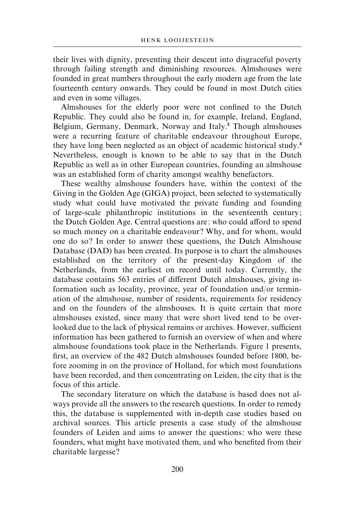their lives with dignity, preventing their descent into disgraceful poverty through failing strength and diminishing resources. Almshouses were founded in great numbers throughout the early modern age from the late fourteenth century onwards. They could be found in most Dutch cities and even in some villages.

Almshouses for the elderly poor were not confined to the Dutch Republic. They could also be found in, for example, Ireland, England, Belgium, Germany, Denmark, Norway and Italy.<sup>3</sup> Though almshouses were a recurring feature of charitable endeavour throughout Europe, they have long been neglected as an object of academic historical study.<sup>4</sup> Nevertheless, enough is known to be able to say that in the Dutch Republic as well as in other European countries, founding an almshouse was an established form of charity amongst wealthy benefactors.

These wealthy almshouse founders have, within the context of the Giving in the Golden Age (GIGA) project, been selected to systematically study what could have motivated the private funding and founding of large-scale philanthropic institutions in the seventeenth century; the Dutch Golden Age. Central questions are: who could afford to spend so much money on a charitable endeavour? Why, and for whom, would one do so ? In order to answer these questions, the Dutch Almshouse Database (DAD) has been created. Its purpose is to chart the almshouses established on the territory of the present-day Kingdom of the Netherlands, from the earliest on record until today. Currently, the database contains 563 entries of different Dutch almshouses, giving information such as locality, province, year of foundation and/or termination of the almshouse, number of residents, requirements for residency and on the founders of the almshouses. It is quite certain that more almshouses existed, since many that were short lived tend to be overlooked due to the lack of physical remains or archives. However, sufficient information has been gathered to furnish an overview of when and where almshouse foundations took place in the Netherlands. Figure 1 presents, first, an overview of the 482 Dutch almshouses founded before 1800, before zooming in on the province of Holland, for which most foundations have been recorded, and then concentrating on Leiden, the city that is the focus of this article.

The secondary literature on which the database is based does not always provide all the answers to the research questions. In order to remedy this, the database is supplemented with in-depth case studies based on archival sources. This article presents a case study of the almshouse founders of Leiden and aims to answer the questions: who were these founders, what might have motivated them, and who benefited from their charitable largesse ?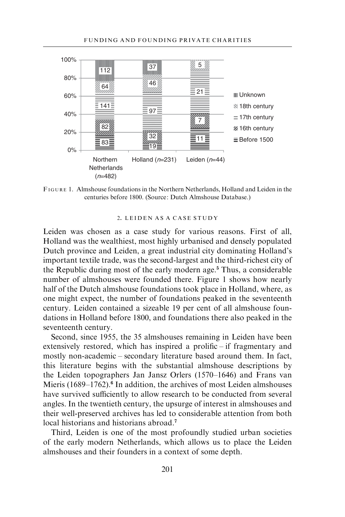

FIGURE 1. Almshouse foundations in the Northern Netherlands, Holland and Leiden in the centuries before 1800. (Source: Dutch Almshouse Database.)

#### 2. LEIDEN AS A CASE STUDY

Leiden was chosen as a case study for various reasons. First of all, Holland was the wealthiest, most highly urbanised and densely populated Dutch province and Leiden, a great industrial city dominating Holland's important textile trade, was the second-largest and the third-richest city of the Republic during most of the early modern age.<sup>5</sup> Thus, a considerable number of almshouses were founded there. Figure 1 shows how nearly half of the Dutch almshouse foundations took place in Holland, where, as one might expect, the number of foundations peaked in the seventeenth century. Leiden contained a sizeable 19 per cent of all almshouse foundations in Holland before 1800, and foundations there also peaked in the seventeenth century.

Second, since 1955, the 35 almshouses remaining in Leiden have been extensively restored, which has inspired a prolific – if fragmentary and mostly non-academic – secondary literature based around them. In fact, this literature begins with the substantial almshouse descriptions by the Leiden topographers Jan Jansz Orlers (1570–1646) and Frans van Mieris  $(1689-1762)$ .<sup>6</sup> In addition, the archives of most Leiden almshouses have survived sufficiently to allow research to be conducted from several angles. In the twentieth century, the upsurge of interest in almshouses and their well-preserved archives has led to considerable attention from both local historians and historians abroad.<sup>7</sup>

Third, Leiden is one of the most profoundly studied urban societies of the early modern Netherlands, which allows us to place the Leiden almshouses and their founders in a context of some depth.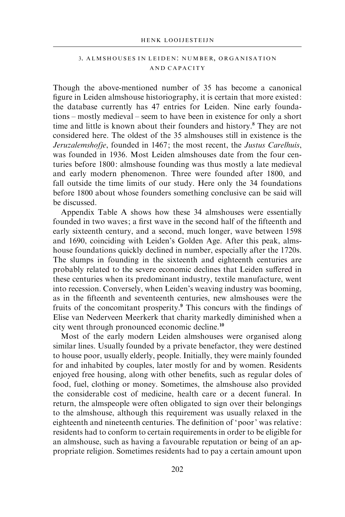#### HENK LOOIJESTEIJN

# 3. ALMSHOUSES IN LEIDEN: NUMBER, ORGANISATION AND CAPACITY

Though the above-mentioned number of 35 has become a canonical figure in Leiden almshouse historiography, it is certain that more existed: the database currently has 47 entries for Leiden. Nine early foundations – mostly medieval – seem to have been in existence for only a short time and little is known about their founders and history.<sup>8</sup> They are not considered here. The oldest of the 35 almshouses still in existence is the Jeruzalemshofje, founded in 1467; the most recent, the Justus Carelhuis, was founded in 1936. Most Leiden almshouses date from the four centuries before 1800: almshouse founding was thus mostly a late medieval and early modern phenomenon. Three were founded after 1800, and fall outside the time limits of our study. Here only the 34 foundations before 1800 about whose founders something conclusive can be said will be discussed.

Appendix Table A shows how these 34 almshouses were essentially founded in two waves; a first wave in the second half of the fifteenth and early sixteenth century, and a second, much longer, wave between 1598 and 1690, coinciding with Leiden's Golden Age. After this peak, almshouse foundations quickly declined in number, especially after the 1720s. The slumps in founding in the sixteenth and eighteenth centuries are probably related to the severe economic declines that Leiden suffered in these centuries when its predominant industry, textile manufacture, went into recession. Conversely, when Leiden's weaving industry was booming, as in the fifteenth and seventeenth centuries, new almshouses were the fruits of the concomitant prosperity.<sup>9</sup> This concurs with the findings of Elise van Nederveen Meerkerk that charity markedly diminished when a city went through pronounced economic decline.<sup>10</sup>

Most of the early modern Leiden almshouses were organised along similar lines. Usually founded by a private benefactor, they were destined to house poor, usually elderly, people. Initially, they were mainly founded for and inhabited by couples, later mostly for and by women. Residents enjoyed free housing, along with other benefits, such as regular doles of food, fuel, clothing or money. Sometimes, the almshouse also provided the considerable cost of medicine, health care or a decent funeral. In return, the almspeople were often obligated to sign over their belongings to the almshouse, although this requirement was usually relaxed in the eighteenth and nineteenth centuries. The definition of 'poor' was relative: residents had to conform to certain requirements in order to be eligible for an almshouse, such as having a favourable reputation or being of an appropriate religion. Sometimes residents had to pay a certain amount upon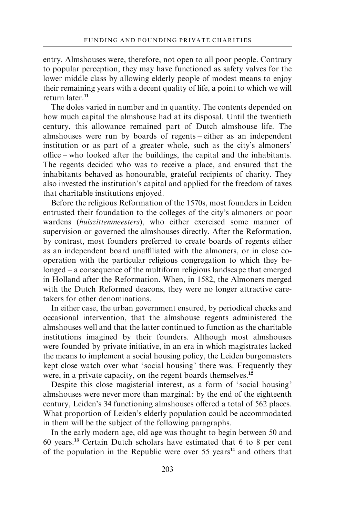entry. Almshouses were, therefore, not open to all poor people. Contrary to popular perception, they may have functioned as safety valves for the lower middle class by allowing elderly people of modest means to enjoy their remaining years with a decent quality of life, a point to which we will return later<sup>11</sup>

The doles varied in number and in quantity. The contents depended on how much capital the almshouse had at its disposal. Until the twentieth century, this allowance remained part of Dutch almshouse life. The almshouses were run by boards of regents – either as an independent institution or as part of a greater whole, such as the city's almoners' office – who looked after the buildings, the capital and the inhabitants. The regents decided who was to receive a place, and ensured that the inhabitants behaved as honourable, grateful recipients of charity. They also invested the institution's capital and applied for the freedom of taxes that charitable institutions enjoyed.

Before the religious Reformation of the 1570s, most founders in Leiden entrusted their foundation to the colleges of the city's almoners or poor wardens (huiszittenmeesters), who either exercised some manner of supervision or governed the almshouses directly. After the Reformation, by contrast, most founders preferred to create boards of regents either as an independent board unaffiliated with the almoners, or in close cooperation with the particular religious congregation to which they belonged – a consequence of the multiform religious landscape that emerged in Holland after the Reformation. When, in 1582, the Almoners merged with the Dutch Reformed deacons, they were no longer attractive caretakers for other denominations.

In either case, the urban government ensured, by periodical checks and occasional intervention, that the almshouse regents administered the almshouses well and that the latter continued to function as the charitable institutions imagined by their founders. Although most almshouses were founded by private initiative, in an era in which magistrates lacked the means to implement a social housing policy, the Leiden burgomasters kept close watch over what 'social housing' there was. Frequently they were, in a private capacity, on the regent boards themselves.<sup>12</sup>

Despite this close magisterial interest, as a form of 'social housing' almshouses were never more than marginal: by the end of the eighteenth century, Leiden's 34 functioning almshouses offered a total of 562 places. What proportion of Leiden's elderly population could be accommodated in them will be the subject of the following paragraphs.

In the early modern age, old age was thought to begin between 50 and 60 years.<sup>13</sup> Certain Dutch scholars have estimated that 6 to 8 per cent of the population in the Republic were over 55 years<sup>14</sup> and others that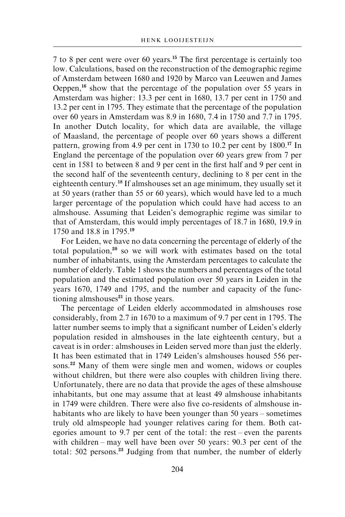7 to 8 per cent were over 60 years.<sup>15</sup> The first percentage is certainly too low. Calculations, based on the reconstruction of the demographic regime of Amsterdam between 1680 and 1920 by Marco van Leeuwen and James Oeppen,<sup>16</sup> show that the percentage of the population over 55 years in Amsterdam was higher: 13.3 per cent in 1680, 13.7 per cent in 1750 and 13.2 per cent in 1795. They estimate that the percentage of the population over 60 years in Amsterdam was 8.9 in 1680, 7.4 in 1750 and 7.7 in 1795. In another Dutch locality, for which data are available, the village of Maasland, the percentage of people over 60 years shows a different pattern, growing from 4.9 per cent in 1730 to 10.2 per cent by 1800.<sup>17</sup> In England the percentage of the population over 60 years grew from 7 per cent in 1581 to between 8 and 9 per cent in the first half and 9 per cent in the second half of the seventeenth century, declining to 8 per cent in the eighteenth century.<sup>18</sup> If almshouses set an age minimum, they usually set it at 50 years (rather than 55 or 60 years), which would have led to a much larger percentage of the population which could have had access to an almshouse. Assuming that Leiden's demographic regime was similar to that of Amsterdam, this would imply percentages of 18.7 in 1680, 19.9 in 1750 and 18.8 in 1795.<sup>19</sup>

For Leiden, we have no data concerning the percentage of elderly of the total population,<sup>20</sup> so we will work with estimates based on the total number of inhabitants, using the Amsterdam percentages to calculate the number of elderly. Table 1 shows the numbers and percentages of the total population and the estimated population over 50 years in Leiden in the years 1670, 1749 and 1795, and the number and capacity of the functioning almshouses $^{21}$  in those years.

The percentage of Leiden elderly accommodated in almshouses rose considerably, from 2.7 in 1670 to a maximum of 9.7 per cent in 1795. The latter number seems to imply that a significant number of Leiden's elderly population resided in almshouses in the late eighteenth century, but a caveat is in order: almshouses in Leiden served more than just the elderly. It has been estimated that in 1749 Leiden's almshouses housed 556 persons.<sup>22</sup> Many of them were single men and women, widows or couples without children, but there were also couples with children living there. Unfortunately, there are no data that provide the ages of these almshouse inhabitants, but one may assume that at least 49 almshouse inhabitants in 1749 were children. There were also five co-residents of almshouse inhabitants who are likely to have been younger than 50 years – sometimes truly old almspeople had younger relatives caring for them. Both categories amount to 9.7 per cent of the total: the rest – even the parents with children – may well have been over 50 years: 90.3 per cent of the total: 502 persons.<sup>23</sup> Judging from that number, the number of elderly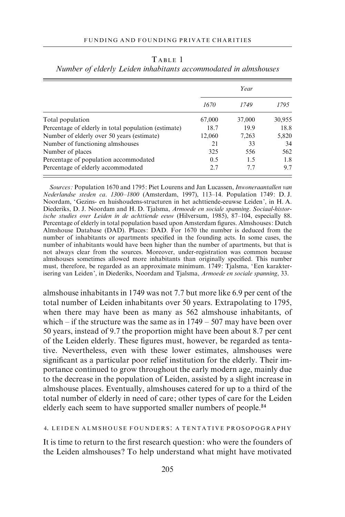|                                                      |        | Year   |        |
|------------------------------------------------------|--------|--------|--------|
|                                                      | 1670   | 1749   | 1795   |
| Total population                                     | 67,000 | 37,000 | 30,955 |
| Percentage of elderly in total population (estimate) | 18.7   | 19.9   | 18.8   |
| Number of elderly over 50 years (estimate)           | 12,060 | 7,263  | 5,820  |
| Number of functioning almshouses                     | 21     | 33     | 34     |
| Number of places                                     | 325    | 556    | 562    |
| Percentage of population accommodated                | 0.5    | 1.5    | 1.8    |
| Percentage of elderly accommodated                   | 2.7    | 7.7    | 9.7    |
|                                                      |        |        |        |

| TABLE 1                                                         |  |
|-----------------------------------------------------------------|--|
| Number of elderly Leiden inhabitants accommodated in almshouses |  |

Sources: Population 1670 and 1795: Piet Lourens and Jan Lucassen, *Inwoneraantallen van* Nederlandse steden ca. 1300–1800 (Amsterdam, 1997), 113–14. Population 1749: D. J. Noordam, 'Gezins- en huishoudens-structuren in het achttiende-eeuwse Leiden', in H. A. Diederiks, D. J. Noordam and H. D. Tjalsma, Armoede en sociale spanning. Sociaal-historische studies over Leiden in de achttiende eeuw (Hilversum, 1985), 87–104, especially 88. Percentage of elderly in total population based upon Amsterdam figures. Almshouses: Dutch Almshouse Database (DAD). Places: DAD. For 1670 the number is deduced from the number of inhabitants or apartments specified in the founding acts. In some cases, the number of inhabitants would have been higher than the number of apartments, but that is not always clear from the sources. Moreover, under-registration was common because almshouses sometimes allowed more inhabitants than originally specified. This number must, therefore, be regarded as an approximate minimum. 1749: Tjalsma, 'Een karakterisering van Leiden', in Diederiks, Noordam and Tjalsma, Armoede en sociale spanning, 33.

almshouse inhabitants in 1749 was not 7.7 but more like 6.9 per cent of the total number of Leiden inhabitants over 50 years. Extrapolating to 1795, when there may have been as many as 562 almshouse inhabitants, of which – if the structure was the same as in  $1749 - 507$  may have been over 50 years, instead of 9.7 the proportion might have been about 8.7 per cent of the Leiden elderly. These figures must, however, be regarded as tentative. Nevertheless, even with these lower estimates, almshouses were significant as a particular poor relief institution for the elderly. Their importance continued to grow throughout the early modern age, mainly due to the decrease in the population of Leiden, assisted by a slight increase in almshouse places. Eventually, almshouses catered for up to a third of the total number of elderly in need of care; other types of care for the Leiden elderly each seem to have supported smaller numbers of people.<sup>24</sup>

# 4. LEIDEN ALMSHOUSE FOUNDERS : A TENTATIVE PROSOPOGRAPHY

It is time to return to the first research question: who were the founders of the Leiden almshouses ? To help understand what might have motivated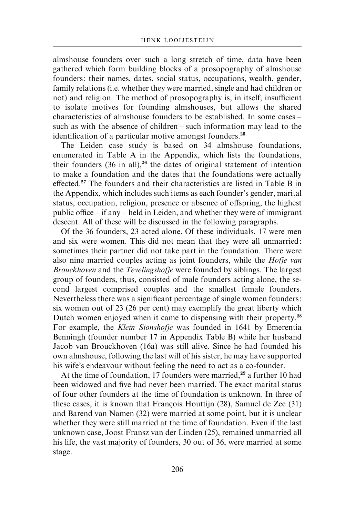almshouse founders over such a long stretch of time, data have been gathered which form building blocks of a prosopography of almshouse founders: their names, dates, social status, occupations, wealth, gender, family relations (i.e. whether they were married, single and had children or not) and religion. The method of prosopography is, in itself, insufficient to isolate motives for founding almshouses, but allows the shared characteristics of almshouse founders to be established. In some cases – such as with the absence of children – such information may lead to the identification of a particular motive amongst founders.<sup>25</sup>

The Leiden case study is based on 34 almshouse foundations, enumerated in Table A in the Appendix, which lists the foundations, their founders  $(36 \text{ in all})$ ,<sup>26</sup> the dates of original statement of intention to make a foundation and the dates that the foundations were actually effected.<sup>27</sup> The founders and their characteristics are listed in Table B in the Appendix, which includes such items as each founder's gender, marital status, occupation, religion, presence or absence of offspring, the highest public office – if any – held in Leiden, and whether they were of immigrant descent. All of these will be discussed in the following paragraphs.

Of the 36 founders, 23 acted alone. Of these individuals, 17 were men and six were women. This did not mean that they were all unmarried: sometimes their partner did not take part in the foundation. There were also nine married couples acting as joint founders, while the Hofje van Brouckhoven and the Tevelingshofje were founded by siblings. The largest group of founders, thus, consisted of male founders acting alone, the second largest comprised couples and the smallest female founders. Nevertheless there was a significant percentage of single women founders: six women out of 23 (26 per cent) may exemplify the great liberty which Dutch women enjoyed when it came to dispensing with their property.<sup>28</sup> For example, the Klein Sionshofje was founded in 1641 by Emerentia Benningh (founder number 17 in Appendix Table B) while her husband Jacob van Brouckhoven (16a) was still alive. Since he had founded his own almshouse, following the last will of his sister, he may have supported his wife's endeavour without feeling the need to act as a co-founder.

At the time of foundation, 17 founders were married, $29$  a further 10 had been widowed and five had never been married. The exact marital status of four other founders at the time of foundation is unknown. In three of these cases, it is known that François Houttijn  $(28)$ , Samuel de Zee  $(31)$ and Barend van Namen (32) were married at some point, but it is unclear whether they were still married at the time of foundation. Even if the last unknown case, Joost Fransz van der Linden (25), remained unmarried all his life, the vast majority of founders, 30 out of 36, were married at some stage.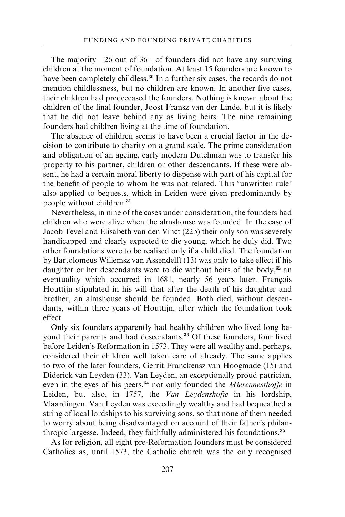The majority – 26 out of  $36$  – of founders did not have any surviving children at the moment of foundation. At least 15 founders are known to have been completely childless.<sup>30</sup> In a further six cases, the records do not mention childlessness, but no children are known. In another five cases, their children had predeceased the founders. Nothing is known about the children of the final founder, Joost Fransz van der Linde, but it is likely that he did not leave behind any as living heirs. The nine remaining founders had children living at the time of foundation.

The absence of children seems to have been a crucial factor in the decision to contribute to charity on a grand scale. The prime consideration and obligation of an ageing, early modern Dutchman was to transfer his property to his partner, children or other descendants. If these were absent, he had a certain moral liberty to dispense with part of his capital for the benefit of people to whom he was not related. This 'unwritten rule' also applied to bequests, which in Leiden were given predominantly by people without children.<sup>31</sup>

Nevertheless, in nine of the cases under consideration, the founders had children who were alive when the almshouse was founded. In the case of Jacob Tevel and Elisabeth van den Vinct (22b) their only son was severely handicapped and clearly expected to die young, which he duly did. Two other foundations were to be realised only if a child died. The foundation by Bartolomeus Willemsz van Assendelft (13) was only to take effect if his daughter or her descendants were to die without heirs of the body,<sup>32</sup> an eventuality which occurred in 1681, nearly 56 years later. François Houttijn stipulated in his will that after the death of his daughter and brother, an almshouse should be founded. Both died, without descendants, within three years of Houttijn, after which the foundation took effect.

Only six founders apparently had healthy children who lived long beyond their parents and had descendants.<sup>33</sup> Of these founders, four lived before Leiden's Reformation in 1573. They were all wealthy and, perhaps, considered their children well taken care of already. The same applies to two of the later founders, Gerrit Franckensz van Hoogmade (15) and Diderick van Leyden (33). Van Leyden, an exceptionally proud patrician, even in the eyes of his peers,<sup>34</sup> not only founded the *Mierennesthofje* in Leiden, but also, in 1757, the Van Leydenshofje in his lordship, Vlaardingen. Van Leyden was exceedingly wealthy and had bequeathed a string of local lordships to his surviving sons, so that none of them needed to worry about being disadvantaged on account of their father's philanthropic largesse. Indeed, they faithfully administered his foundations.<sup>35</sup>

As for religion, all eight pre-Reformation founders must be considered Catholics as, until 1573, the Catholic church was the only recognised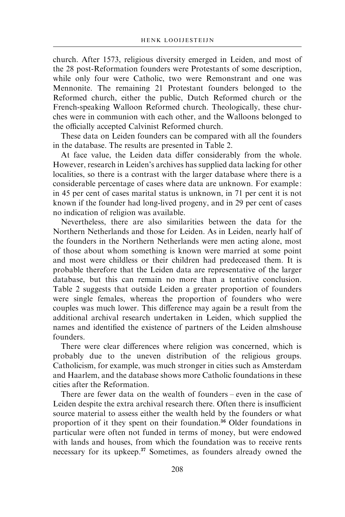church. After 1573, religious diversity emerged in Leiden, and most of the 28 post-Reformation founders were Protestants of some description, while only four were Catholic, two were Remonstrant and one was Mennonite. The remaining 21 Protestant founders belonged to the Reformed church, either the public, Dutch Reformed church or the French-speaking Walloon Reformed church. Theologically, these churches were in communion with each other, and the Walloons belonged to the officially accepted Calvinist Reformed church.

These data on Leiden founders can be compared with all the founders in the database. The results are presented in Table 2.

At face value, the Leiden data differ considerably from the whole. However, research in Leiden's archives has supplied data lacking for other localities, so there is a contrast with the larger database where there is a considerable percentage of cases where data are unknown. For example: in 45 per cent of cases marital status is unknown, in 71 per cent it is not known if the founder had long-lived progeny, and in 29 per cent of cases no indication of religion was available.

Nevertheless, there are also similarities between the data for the Northern Netherlands and those for Leiden. As in Leiden, nearly half of the founders in the Northern Netherlands were men acting alone, most of those about whom something is known were married at some point and most were childless or their children had predeceased them. It is probable therefore that the Leiden data are representative of the larger database, but this can remain no more than a tentative conclusion. Table 2 suggests that outside Leiden a greater proportion of founders were single females, whereas the proportion of founders who were couples was much lower. This difference may again be a result from the additional archival research undertaken in Leiden, which supplied the names and identified the existence of partners of the Leiden almshouse founders.

There were clear differences where religion was concerned, which is probably due to the uneven distribution of the religious groups. Catholicism, for example, was much stronger in cities such as Amsterdam and Haarlem, and the database shows more Catholic foundations in these cities after the Reformation.

There are fewer data on the wealth of founders – even in the case of Leiden despite the extra archival research there. Often there is insufficient source material to assess either the wealth held by the founders or what proportion of it they spent on their foundation.<sup>36</sup> Older foundations in particular were often not funded in terms of money, but were endowed with lands and houses, from which the foundation was to receive rents necessary for its upkeep.<sup>37</sup> Sometimes, as founders already owned the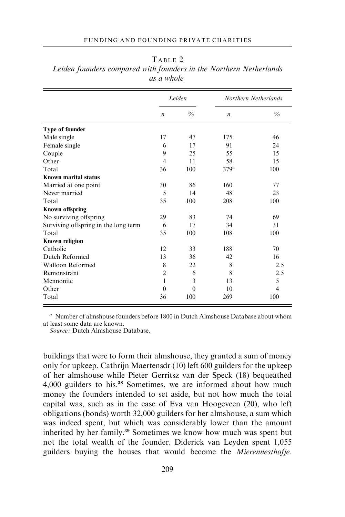|                                      |                  | Leiden   |                  | Northern Netherlands |
|--------------------------------------|------------------|----------|------------------|----------------------|
|                                      | $\boldsymbol{n}$ | $\%$     | $\boldsymbol{n}$ | $\frac{0}{0}$        |
| <b>Type of founder</b>               |                  |          |                  |                      |
| Male single                          | 17               | 47       | 175              | 46                   |
| Female single                        | 6                | 17       | 91               | 24                   |
| Couple                               | 9                | 25       | 55               | 15                   |
| Other                                | 4                | 11       | 58               | 15                   |
| Total                                | 36               | 100      | 379a             | 100                  |
| Known marital status                 |                  |          |                  |                      |
| Married at one point                 | 30               | 86       | 160              | 77                   |
| Never married                        | 5                | 14       | 48               | 23                   |
| Total                                | 35               | 100      | 208              | 100                  |
| <b>Known offspring</b>               |                  |          |                  |                      |
| No surviving offspring               | 29               | 83       | 74               | 69                   |
| Surviving offspring in the long term | 6                | 17       | 34               | 31                   |
| Total                                | 35               | 100      | 108              | 100                  |
| <b>Known religion</b>                |                  |          |                  |                      |
| Catholic                             | 12               | 33       | 188              | 70                   |
| Dutch Reformed                       | 13               | 36       | 42               | 16                   |
| Walloon Reformed                     | 8                | 22       | 8                | 2.5                  |
| Remonstrant                          | $\overline{2}$   | 6        | 8                | 2.5                  |
| Mennonite                            | 1                | 3        | 13               | 5                    |
| Other                                | $\overline{0}$   | $\theta$ | 10               | 4                    |
| Total                                | 36               | 100      | 269              | 100                  |

TARLE 2 Leiden founders compared with founders in the Northern Netherlands as a whole

 $a$  Number of almshouse founders before 1800 in Dutch Almshouse Database about whom at least some data are known.

Source : Dutch Almshouse Database.

buildings that were to form their almshouse, they granted a sum of money only for upkeep. Cathrijn Maertensdr (10) left 600 guilders for the upkeep of her almshouse while Pieter Gerritsz van der Speck (18) bequeathed 4,000 guilders to his.<sup>38</sup> Sometimes, we are informed about how much money the founders intended to set aside, but not how much the total capital was, such as in the case of Eva van Hoogeveen (20), who left obligations (bonds) worth 32,000 guilders for her almshouse, a sum which was indeed spent, but which was considerably lower than the amount inherited by her family.<sup>39</sup> Sometimes we know how much was spent but not the total wealth of the founder. Diderick van Leyden spent 1,055 guilders buying the houses that would become the Mierennesthofje.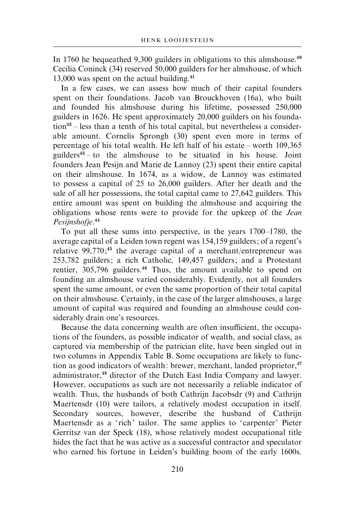In 1760 he bequeathed 9,300 guilders in obligations to this almshouse.<sup>40</sup> Cecilia Coninck (34) reserved 50,000 guilders for her almshouse, of which 13,000 was spent on the actual building.<sup>41</sup>

In a few cases, we can assess how much of their capital founders spent on their foundations. Jacob van Brouckhoven (16a), who built and founded his almshouse during his lifetime, possessed 250,000 guilders in 1626. He spent approximately 20,000 guilders on his founda- $\arctan^{42}$  – less than a tenth of his total capital, but nevertheless a considerable amount. Cornelis Sprongh (30) spent even more in terms of percentage of his total wealth. He left half of his estate – worth 109,365 guilders $43$  – to the almshouse to be situated in his house. Joint founders Jean Pesijn and Marie de Lannoy (23) spent their entire capital on their almshouse. In 1674, as a widow, de Lannoy was estimated to possess a capital of 25 to 26,000 guilders. After her death and the sale of all her possessions, the total capital came to 27,642 guilders. This entire amount was spent on building the almshouse and acquiring the obligations whose rents were to provide for the upkeep of the Jean Pesijnshofje. 44

To put all these sums into perspective, in the years 1700–1780, the average capital of a Leiden town regent was 154,159 guilders; of a regent's relative 99,770;<sup>45</sup> the average capital of a merchant/entrepreneur was 253,782 guilders; a rich Catholic, 149,457 guilders; and a Protestant rentier, 305,796 guilders.<sup>46</sup> Thus, the amount available to spend on founding an almshouse varied considerably. Evidently, not all founders spent the same amount, or even the same proportion of their total capital on their almshouse. Certainly, in the case of the larger almshouses, a large amount of capital was required and founding an almshouse could considerably drain one's resources.

Because the data concerning wealth are often insufficient, the occupations of the founders, as possible indicator of wealth, and social class, as captured via membership of the patrician elite, have been singled out in two columns in Appendix Table B. Some occupations are likely to function as good indicators of wealth: brewer, merchant, landed proprietor,<sup>47</sup> administrator,<sup>48</sup> director of the Dutch East India Company and lawyer. However, occupations as such are not necessarily a reliable indicator of wealth. Thus, the husbands of both Cathrijn Jacobsdr (9) and Cathrijn Maertensdr (10) were tailors, a relatively modest occupation in itself. Secondary sources, however, describe the husband of Cathrijn Maertensdr as a 'rich' tailor. The same applies to 'carpenter' Pieter Gerritsz van der Speck (18), whose relatively modest occupational title hides the fact that he was active as a successful contractor and speculator who earned his fortune in Leiden's building boom of the early 1600s.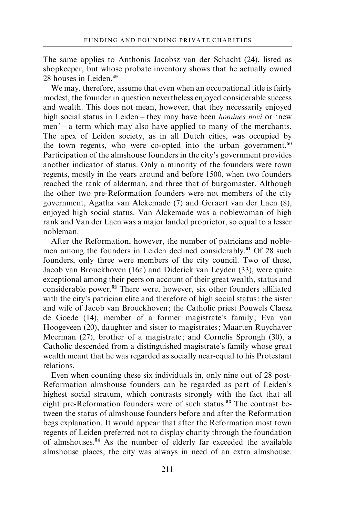The same applies to Anthonis Jacobsz van der Schacht (24), listed as shopkeeper, but whose probate inventory shows that he actually owned 28 houses in Leiden.<sup>49</sup>

We may, therefore, assume that even when an occupational title is fairly modest, the founder in question nevertheless enjoyed considerable success and wealth. This does not mean, however, that they necessarily enjoyed high social status in Leiden – they may have been homines novi or 'new men' – a term which may also have applied to many of the merchants. The apex of Leiden society, as in all Dutch cities, was occupied by the town regents, who were co-opted into the urban government.<sup>50</sup> Participation of the almshouse founders in the city's government provides another indicator of status. Only a minority of the founders were town regents, mostly in the years around and before 1500, when two founders reached the rank of alderman, and three that of burgomaster. Although the other two pre-Reformation founders were not members of the city government, Agatha van Alckemade (7) and Geraert van der Laen (8), enjoyed high social status. Van Alckemade was a noblewoman of high rank and Van der Laen was a major landed proprietor, so equal to a lesser nobleman.

After the Reformation, however, the number of patricians and noblemen among the founders in Leiden declined considerably.<sup>51</sup> Of 28 such founders, only three were members of the city council. Two of these, Jacob van Brouckhoven (16a) and Diderick van Leyden (33), were quite exceptional among their peers on account of their great wealth, status and considerable power.<sup>52</sup> There were, however, six other founders affiliated with the city's patrician elite and therefore of high social status: the sister and wife of Jacob van Brouckhoven; the Catholic priest Pouwels Claesz de Goede (14), member of a former magistrate's family; Eva van Hoogeveen (20), daughter and sister to magistrates; Maarten Ruychaver Meerman (27), brother of a magistrate; and Cornelis Sprongh (30), a Catholic descended from a distinguished magistrate's family whose great wealth meant that he was regarded as socially near-equal to his Protestant relations.

Even when counting these six individuals in, only nine out of 28 post-Reformation almshouse founders can be regarded as part of Leiden's highest social stratum, which contrasts strongly with the fact that all eight pre-Reformation founders were of such status.<sup>53</sup> The contrast between the status of almshouse founders before and after the Reformation begs explanation. It would appear that after the Reformation most town regents of Leiden preferred not to display charity through the foundation of almshouses.<sup>54</sup> As the number of elderly far exceeded the available almshouse places, the city was always in need of an extra almshouse.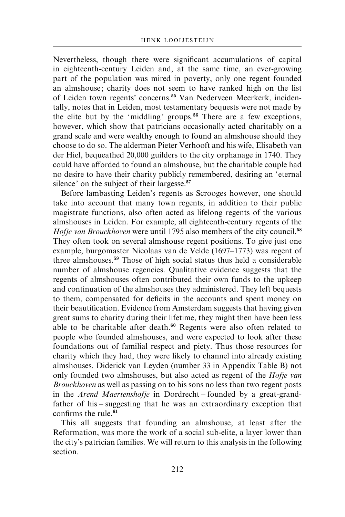Nevertheless, though there were significant accumulations of capital in eighteenth-century Leiden and, at the same time, an ever-growing part of the population was mired in poverty, only one regent founded an almshouse; charity does not seem to have ranked high on the list of Leiden town regents' concerns.<sup>55</sup> Van Nederveen Meerkerk, incidentally, notes that in Leiden, most testamentary bequests were not made by the elite but by the 'middling' groups.<sup>56</sup> There are a few exceptions, however, which show that patricians occasionally acted charitably on a grand scale and were wealthy enough to found an almshouse should they choose to do so. The alderman Pieter Verhooft and his wife, Elisabeth van der Hiel, bequeathed 20,000 guilders to the city orphanage in 1740. They could have afforded to found an almshouse, but the charitable couple had no desire to have their charity publicly remembered, desiring an 'eternal silence' on the subject of their largesse.<sup>57</sup>

Before lambasting Leiden's regents as Scrooges however, one should take into account that many town regents, in addition to their public magistrate functions, also often acted as lifelong regents of the various almshouses in Leiden. For example, all eighteenth-century regents of the Hofje van Brouckhoven were until 1795 also members of the city council.<sup>58</sup> They often took on several almshouse regent positions. To give just one example, burgomaster Nicolaas van de Velde (1697–1773) was regent of three almshouses.<sup>59</sup> Those of high social status thus held a considerable number of almshouse regencies. Qualitative evidence suggests that the regents of almshouses often contributed their own funds to the upkeep and continuation of the almshouses they administered. They left bequests to them, compensated for deficits in the accounts and spent money on their beautification. Evidence from Amsterdam suggests that having given great sums to charity during their lifetime, they might then have been less able to be charitable after death.<sup>60</sup> Regents were also often related to people who founded almshouses, and were expected to look after these foundations out of familial respect and piety. Thus those resources for charity which they had, they were likely to channel into already existing almshouses. Diderick van Leyden (number 33 in Appendix Table B) not only founded two almshouses, but also acted as regent of the Hofje van Brouckhoven as well as passing on to his sons no less than two regent posts in the Arend Maertenshofje in Dordrecht – founded by a great-grandfather of his – suggesting that he was an extraordinary exception that confirms the rule. $61$ 

This all suggests that founding an almshouse, at least after the Reformation, was more the work of a social sub-elite, a layer lower than the city's patrician families. We will return to this analysis in the following section.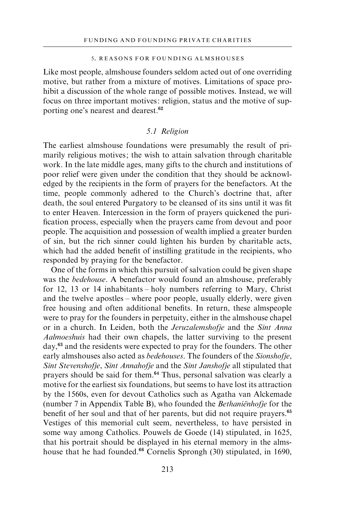#### 5. REASONS FOR FOUNDING ALMSHOUSES

Like most people, almshouse founders seldom acted out of one overriding motive, but rather from a mixture of motives. Limitations of space prohibit a discussion of the whole range of possible motives. Instead, we will focus on three important motives: religion, status and the motive of supporting one's nearest and dearest.<sup>62</sup>

# 5.1 Religion

The earliest almshouse foundations were presumably the result of primarily religious motives; the wish to attain salvation through charitable work. In the late middle ages, many gifts to the church and institutions of poor relief were given under the condition that they should be acknowledged by the recipients in the form of prayers for the benefactors. At the time, people commonly adhered to the Church's doctrine that, after death, the soul entered Purgatory to be cleansed of its sins until it was fit to enter Heaven. Intercession in the form of prayers quickened the purification process, especially when the prayers came from devout and poor people. The acquisition and possession of wealth implied a greater burden of sin, but the rich sinner could lighten his burden by charitable acts, which had the added benefit of instilling gratitude in the recipients, who responded by praying for the benefactor.

One of the forms in which this pursuit of salvation could be given shape was the bedehouse. A benefactor would found an almshouse, preferably for 12, 13 or 14 inhabitants – holy numbers referring to Mary, Christ and the twelve apostles – where poor people, usually elderly, were given free housing and often additional benefits. In return, these almspeople were to pray for the founders in perpetuity, either in the almshouse chapel or in a church. In Leiden, both the Jeruzalemshofie and the Sint Anna Aalmoeshuis had their own chapels, the latter surviving to the present day,<sup>63</sup> and the residents were expected to pray for the founders. The other early almshouses also acted as bedehouses. The founders of the Sionshofje, Sint Stevenshofje, Sint Annahofje and the Sint Janshofje all stipulated that prayers should be said for them.<sup>64</sup> Thus, personal salvation was clearly a motive for the earliest six foundations, but seems to have lost its attraction by the 1560s, even for devout Catholics such as Agatha van Alckemade (number  $7$  in Appendix Table B), who founded the *Bethanienhofje* for the benefit of her soul and that of her parents, but did not require prayers.<sup>65</sup> Vestiges of this memorial cult seem, nevertheless, to have persisted in some way among Catholics. Pouwels de Goede (14) stipulated, in 1625, that his portrait should be displayed in his eternal memory in the almshouse that he had founded.<sup>66</sup> Cornelis Sprongh (30) stipulated, in 1690,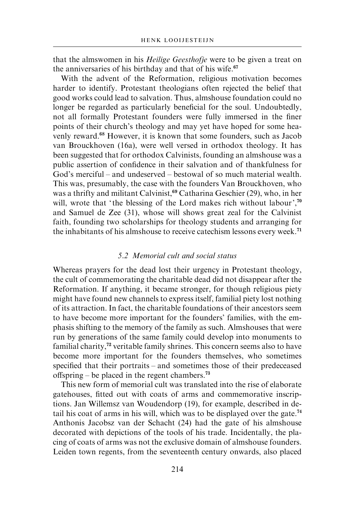that the almswomen in his *Heilige Geesthofie* were to be given a treat on the anniversaries of his birthday and that of his wife.<sup>67</sup>

With the advent of the Reformation, religious motivation becomes harder to identify. Protestant theologians often rejected the belief that good works could lead to salvation. Thus, almshouse foundation could no longer be regarded as particularly beneficial for the soul. Undoubtedly, not all formally Protestant founders were fully immersed in the finer points of their church's theology and may yet have hoped for some heavenly reward.<sup>68</sup> However, it is known that some founders, such as Jacob van Brouckhoven (16a), were well versed in orthodox theology. It has been suggested that for orthodox Calvinists, founding an almshouse was a public assertion of confidence in their salvation and of thankfulness for God's merciful – and undeserved – bestowal of so much material wealth. This was, presumably, the case with the founders Van Brouckhoven, who was a thrifty and militant Calvinist,<sup>69</sup> Catharina Geschier (29), who, in her will, wrote that 'the blessing of the Lord makes rich without labour',<sup>70</sup> and Samuel de Zee (31), whose will shows great zeal for the Calvinist faith, founding two scholarships for theology students and arranging for the inhabitants of his almshouse to receive catechism lessons every week.<sup>71</sup>

# 5.2 Memorial cult and social status

Whereas prayers for the dead lost their urgency in Protestant theology, the cult of commemorating the charitable dead did not disappear after the Reformation. If anything, it became stronger, for though religious piety might have found new channels to express itself, familial piety lost nothing of its attraction. In fact, the charitable foundations of their ancestors seem to have become more important for the founders' families, with the emphasis shifting to the memory of the family as such. Almshouses that were run by generations of the same family could develop into monuments to familial charity,<sup>72</sup> veritable family shrines. This concern seems also to have become more important for the founders themselves, who sometimes specified that their portraits – and sometimes those of their predeceased offspring – be placed in the regent chambers.<sup>73</sup>

This new form of memorial cult was translated into the rise of elaborate gatehouses, fitted out with coats of arms and commemorative inscriptions. Jan Willemsz van Woudendorp (19), for example, described in detail his coat of arms in his will, which was to be displayed over the gate.<sup>74</sup> Anthonis Jacobsz van der Schacht (24) had the gate of his almshouse decorated with depictions of the tools of his trade. Incidentally, the placing of coats of arms was not the exclusive domain of almshouse founders. Leiden town regents, from the seventeenth century onwards, also placed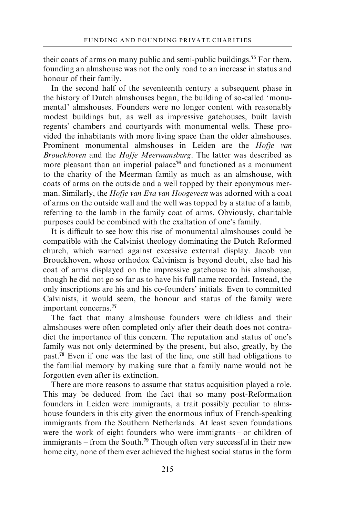their coats of arms on many public and semi-public buildings.<sup>75</sup> For them, founding an almshouse was not the only road to an increase in status and honour of their family.

In the second half of the seventeenth century a subsequent phase in the history of Dutch almshouses began, the building of so-called 'monumental' almshouses. Founders were no longer content with reasonably modest buildings but, as well as impressive gatehouses, built lavish regents' chambers and courtyards with monumental wells. These provided the inhabitants with more living space than the older almshouses. Prominent monumental almshouses in Leiden are the *Hofje van* Brouckhoven and the Hofje Meermansburg. The latter was described as more pleasant than an imperial palace<sup>76</sup> and functioned as a monument to the charity of the Meerman family as much as an almshouse, with coats of arms on the outside and a well topped by their eponymous merman. Similarly, the Hofje van Eva van Hoogeveen was adorned with a coat of arms on the outside wall and the well was topped by a statue of a lamb, referring to the lamb in the family coat of arms. Obviously, charitable purposes could be combined with the exaltation of one's family.

It is difficult to see how this rise of monumental almshouses could be compatible with the Calvinist theology dominating the Dutch Reformed church, which warned against excessive external display. Jacob van Brouckhoven, whose orthodox Calvinism is beyond doubt, also had his coat of arms displayed on the impressive gatehouse to his almshouse, though he did not go so far as to have his full name recorded. Instead, the only inscriptions are his and his co-founders' initials. Even to committed Calvinists, it would seem, the honour and status of the family were important concerns.<sup>77</sup>

The fact that many almshouse founders were childless and their almshouses were often completed only after their death does not contradict the importance of this concern. The reputation and status of one's family was not only determined by the present, but also, greatly, by the past.<sup>78</sup> Even if one was the last of the line, one still had obligations to the familial memory by making sure that a family name would not be forgotten even after its extinction.

There are more reasons to assume that status acquisition played a role. This may be deduced from the fact that so many post-Reformation founders in Leiden were immigrants, a trait possibly peculiar to almshouse founders in this city given the enormous influx of French-speaking immigrants from the Southern Netherlands. At least seven foundations were the work of eight founders who were immigrants – or children of immigrants – from the South.<sup>79</sup> Though often very successful in their new home city, none of them ever achieved the highest social status in the form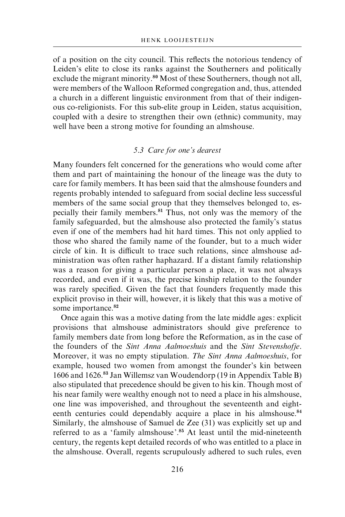of a position on the city council. This reflects the notorious tendency of Leiden's elite to close its ranks against the Southerners and politically exclude the migrant minority.<sup>80</sup> Most of these Southerners, though not all, were members of the Walloon Reformed congregation and, thus, attended a church in a different linguistic environment from that of their indigenous co-religionists. For this sub-elite group in Leiden, status acquisition, coupled with a desire to strengthen their own (ethnic) community, may well have been a strong motive for founding an almshouse.

# 5.3 Care for one's dearest

Many founders felt concerned for the generations who would come after them and part of maintaining the honour of the lineage was the duty to care for family members. It has been said that the almshouse founders and regents probably intended to safeguard from social decline less successful members of the same social group that they themselves belonged to, especially their family members.<sup>81</sup> Thus, not only was the memory of the family safeguarded, but the almshouse also protected the family's status even if one of the members had hit hard times. This not only applied to those who shared the family name of the founder, but to a much wider circle of kin. It is difficult to trace such relations, since almshouse administration was often rather haphazard. If a distant family relationship was a reason for giving a particular person a place, it was not always recorded, and even if it was, the precise kinship relation to the founder was rarely specified. Given the fact that founders frequently made this explicit proviso in their will, however, it is likely that this was a motive of some importance.<sup>82</sup>

Once again this was a motive dating from the late middle ages: explicit provisions that almshouse administrators should give preference to family members date from long before the Reformation, as in the case of the founders of the Sint Anna Aalmoeshuis and the Sint Stevenshofje. Moreover, it was no empty stipulation. The Sint Anna Aalmoeshuis, for example, housed two women from amongst the founder's kin between 1606 and 1626.<sup>83</sup> Jan Willemsz van Woudendorp (19 in Appendix Table B) also stipulated that precedence should be given to his kin. Though most of his near family were wealthy enough not to need a place in his almshouse, one line was impoverished, and throughout the seventeenth and eighteenth centuries could dependably acquire a place in his almshouse.<sup>84</sup> Similarly, the almshouse of Samuel de Zee (31) was explicitly set up and referred to as a 'family almshouse'.<sup>85</sup> At least until the mid-nineteenth century, the regents kept detailed records of who was entitled to a place in the almshouse. Overall, regents scrupulously adhered to such rules, even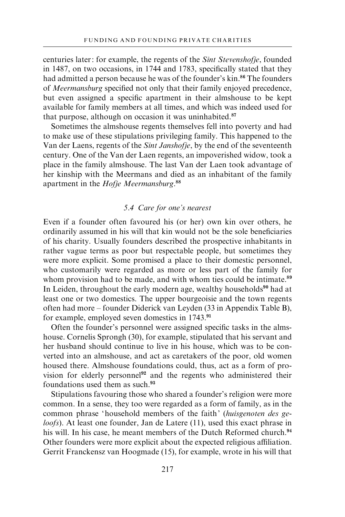centuries later: for example, the regents of the Sint Stevenshofje, founded in 1487, on two occasions, in 1744 and 1783, specifically stated that they had admitted a person because he was of the founder's kin.<sup>86</sup> The founders of Meermansburg specified not only that their family enjoyed precedence, but even assigned a specific apartment in their almshouse to be kept available for family members at all times, and which was indeed used for that purpose, although on occasion it was uninhabited. $87$ 

Sometimes the almshouse regents themselves fell into poverty and had to make use of these stipulations privileging family. This happened to the Van der Laens, regents of the Sint Janshofje, by the end of the seventeenth century. One of the Van der Laen regents, an impoverished widow, took a place in the family almshouse. The last Van der Laen took advantage of her kinship with the Meermans and died as an inhabitant of the family apartment in the Hofje Meermansburg.<sup>88</sup>

# 5.4 Care for one's nearest

Even if a founder often favoured his (or her) own kin over others, he ordinarily assumed in his will that kin would not be the sole beneficiaries of his charity. Usually founders described the prospective inhabitants in rather vague terms as poor but respectable people, but sometimes they were more explicit. Some promised a place to their domestic personnel, who customarily were regarded as more or less part of the family for whom provision had to be made, and with whom ties could be intimate.<sup>89</sup> In Leiden, throughout the early modern age, wealthy households<sup>90</sup> had at least one or two domestics. The upper bourgeoisie and the town regents often had more – founder Diderick van Leyden (33 in Appendix Table B), for example, employed seven domestics in 1743.<sup>91</sup>

Often the founder's personnel were assigned specific tasks in the almshouse. Cornelis Sprongh (30), for example, stipulated that his servant and her husband should continue to live in his house, which was to be converted into an almshouse, and act as caretakers of the poor, old women housed there. Almshouse foundations could, thus, act as a form of provision for elderly personnel<sup>92</sup> and the regents who administered their foundations used them as such.<sup>93</sup>

Stipulations favouring those who shared a founder's religion were more common. In a sense, they too were regarded as a form of family, as in the common phrase 'household members of the faith' (huisgenoten des geloofs). At least one founder, Jan de Latere (11), used this exact phrase in his will. In his case, he meant members of the Dutch Reformed church.<sup>94</sup> Other founders were more explicit about the expected religious affiliation. Gerrit Franckensz van Hoogmade (15), for example, wrote in his will that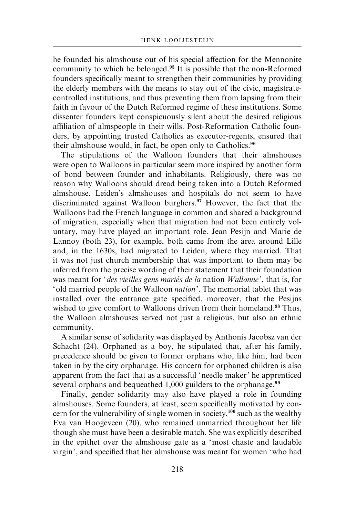he founded his almshouse out of his special affection for the Mennonite community to which he belonged.<sup>95</sup> It is possible that the non-Reformed founders specifically meant to strengthen their communities by providing the elderly members with the means to stay out of the civic, magistratecontrolled institutions, and thus preventing them from lapsing from their faith in favour of the Dutch Reformed regime of these institutions. Some dissenter founders kept conspicuously silent about the desired religious affiliation of almspeople in their wills. Post-Reformation Catholic founders, by appointing trusted Catholics as executor-regents, ensured that their almshouse would, in fact, be open only to Catholics.<sup>96</sup>

The stipulations of the Walloon founders that their almshouses were open to Walloons in particular seem more inspired by another form of bond between founder and inhabitants. Religiously, there was no reason why Walloons should dread being taken into a Dutch Reformed almshouse. Leiden's almshouses and hospitals do not seem to have discriminated against Walloon burghers.<sup>97</sup> However, the fact that the Walloons had the French language in common and shared a background of migration, especially when that migration had not been entirely voluntary, may have played an important role. Jean Pesijn and Marie de Lannoy (both 23), for example, both came from the area around Lille and, in the 1630s, had migrated to Leiden, where they married. That it was not just church membership that was important to them may be inferred from the precise wording of their statement that their foundation was meant for 'des vieilles gens mariés de la nation Wallonne', that is, for 'old married people of the Walloon nation'. The memorial tablet that was installed over the entrance gate specified, moreover, that the Pesijns wished to give comfort to Walloons driven from their homeland.<sup>98</sup> Thus, the Walloon almshouses served not just a religious, but also an ethnic community.

A similar sense of solidarity was displayed by Anthonis Jacobsz van der Schacht (24). Orphaned as a boy, he stipulated that, after his family, precedence should be given to former orphans who, like him, had been taken in by the city orphanage. His concern for orphaned children is also apparent from the fact that as a successful 'needle maker' he apprenticed several orphans and bequeathed 1,000 guilders to the orphanage.<sup>99</sup>

Finally, gender solidarity may also have played a role in founding almshouses. Some founders, at least, seem specifically motivated by concern for the vulnerability of single women in society,<sup>100</sup> such as the wealthy Eva van Hoogeveen (20), who remained unmarried throughout her life though she must have been a desirable match. She was explicitly described in the epithet over the almshouse gate as a 'most chaste and laudable virgin', and specified that her almshouse was meant for women 'who had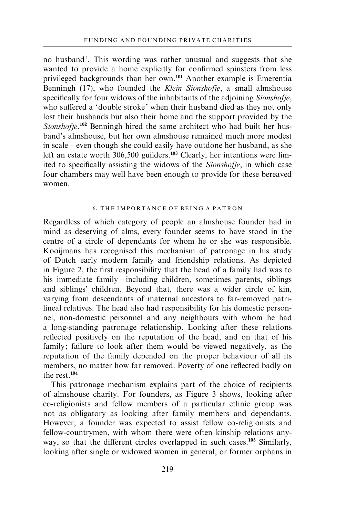no husband'. This wording was rather unusual and suggests that she wanted to provide a home explicitly for confirmed spinsters from less privileged backgrounds than her own.<sup>101</sup> Another example is Emerentia Benningh (17), who founded the *Klein Sionshofje*, a small almshouse specifically for four widows of the inhabitants of the adjoining Sionshofie, who suffered a 'double stroke' when their husband died as they not only lost their husbands but also their home and the support provided by the Sionshofje.<sup>102</sup> Benningh hired the same architect who had built her husband's almshouse, but her own almshouse remained much more modest in scale – even though she could easily have outdone her husband, as she left an estate worth 306,500 guilders.<sup>103</sup> Clearly, her intentions were limited to specifically assisting the widows of the Sionshofje, in which case four chambers may well have been enough to provide for these bereaved women.

### 6. THE IMPORTANCE OF BEING A PATRON

Regardless of which category of people an almshouse founder had in mind as deserving of alms, every founder seems to have stood in the centre of a circle of dependants for whom he or she was responsible. Kooijmans has recognised this mechanism of patronage in his study of Dutch early modern family and friendship relations. As depicted in Figure 2, the first responsibility that the head of a family had was to his immediate family – including children, sometimes parents, siblings and siblings' children. Beyond that, there was a wider circle of kin, varying from descendants of maternal ancestors to far-removed patrilineal relatives. The head also had responsibility for his domestic personnel, non-domestic personnel and any neighbours with whom he had a long-standing patronage relationship. Looking after these relations reflected positively on the reputation of the head, and on that of his family; failure to look after them would be viewed negatively, as the reputation of the family depended on the proper behaviour of all its members, no matter how far removed. Poverty of one reflected badly on the rest.<sup>104</sup>

This patronage mechanism explains part of the choice of recipients of almshouse charity. For founders, as Figure 3 shows, looking after co-religionists and fellow members of a particular ethnic group was not as obligatory as looking after family members and dependants. However, a founder was expected to assist fellow co-religionists and fellow-countrymen, with whom there were often kinship relations anyway, so that the different circles overlapped in such cases.<sup>105</sup> Similarly, looking after single or widowed women in general, or former orphans in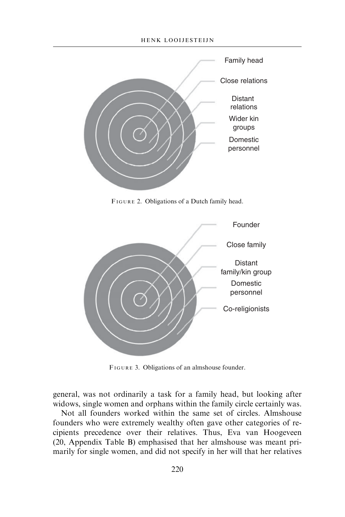

FIGURE 2. Obligations of a Dutch family head.



FIGURE 3. Obligations of an almshouse founder.

general, was not ordinarily a task for a family head, but looking after widows, single women and orphans within the family circle certainly was.

Not all founders worked within the same set of circles. Almshouse founders who were extremely wealthy often gave other categories of recipients precedence over their relatives. Thus, Eva van Hoogeveen (20, Appendix Table B) emphasised that her almshouse was meant primarily for single women, and did not specify in her will that her relatives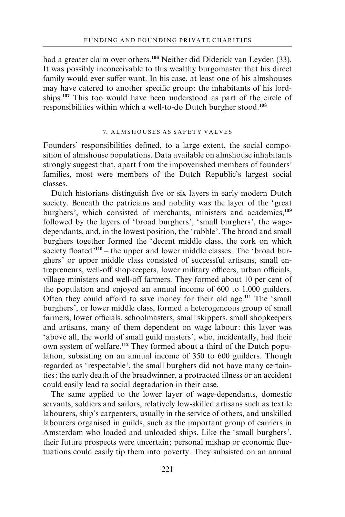had a greater claim over others.<sup>106</sup> Neither did Diderick van Leyden (33). It was possibly inconceivable to this wealthy burgomaster that his direct family would ever suffer want. In his case, at least one of his almshouses may have catered to another specific group: the inhabitants of his lordships.<sup>107</sup> This too would have been understood as part of the circle of responsibilities within which a well-to-do Dutch burgher stood.<sup>108</sup>

### 7. ALMSHOUSES AS SAFETY VALVES

Founders' responsibilities defined, to a large extent, the social composition of almshouse populations. Data available on almshouse inhabitants strongly suggest that, apart from the impoverished members of founders' families, most were members of the Dutch Republic's largest social classes.

Dutch historians distinguish five or six layers in early modern Dutch society. Beneath the patricians and nobility was the layer of the 'great burghers', which consisted of merchants, ministers and academics,<sup>109</sup> followed by the layers of 'broad burghers', 'small burghers', the wagedependants, and, in the lowest position, the ' rabble'. The broad and small burghers together formed the 'decent middle class, the cork on which society floated<sup>'110</sup> – the upper and lower middle classes. The 'broad burghers' or upper middle class consisted of successful artisans, small entrepreneurs, well-off shopkeepers, lower military officers, urban officials, village ministers and well-off farmers. They formed about 10 per cent of the population and enjoyed an annual income of 600 to 1,000 guilders. Often they could afford to save money for their old age.<sup>111</sup> The 'small burghers', or lower middle class, formed a heterogeneous group of small farmers, lower officials, schoolmasters, small skippers, small shopkeepers and artisans, many of them dependent on wage labour: this layer was 'above all, the world of small guild masters', who, incidentally, had their own system of welfare.<sup>112</sup> They formed about a third of the Dutch population, subsisting on an annual income of 350 to 600 guilders. Though regarded as 'respectable', the small burghers did not have many certainties: the early death of the breadwinner, a protracted illness or an accident could easily lead to social degradation in their case.

The same applied to the lower layer of wage-dependants, domestic servants, soldiers and sailors, relatively low-skilled artisans such as textile labourers, ship's carpenters, usually in the service of others, and unskilled labourers organised in guilds, such as the important group of carriers in Amsterdam who loaded and unloaded ships. Like the 'small burghers', their future prospects were uncertain; personal mishap or economic fluctuations could easily tip them into poverty. They subsisted on an annual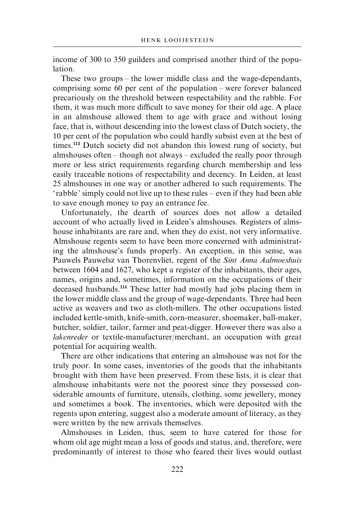income of 300 to 350 guilders and comprised another third of the population.

These two groups – the lower middle class and the wage-dependants, comprising some 60 per cent of the population – were forever balanced precariously on the threshold between respectability and the rabble. For them, it was much more difficult to save money for their old age. A place in an almshouse allowed them to age with grace and without losing face, that is, without descending into the lowest class of Dutch society, the 10 per cent of the population who could hardly subsist even at the best of times.<sup>113</sup> Dutch society did not abandon this lowest rung of society, but almshouses often – though not always – excluded the really poor through more or less strict requirements regarding church membership and less easily traceable notions of respectability and decency. In Leiden, at least 25 almshouses in one way or another adhered to such requirements. The ' rabble' simply could not live up to these rules – even if they had been able to save enough money to pay an entrance fee.

Unfortunately, the dearth of sources does not allow a detailed account of who actually lived in Leiden's almshouses. Registers of almshouse inhabitants are rare and, when they do exist, not very informative. Almshouse regents seem to have been more concerned with administrating the almshouse's funds properly. An exception, in this sense, was Pauwels Pauwelsz van Thorenvliet, regent of the Sint Anna Aalmoeshuis between 1604 and 1627, who kept a register of the inhabitants, their ages, names, origins and, sometimes, information on the occupations of their deceased husbands.<sup>114</sup> These latter had mostly had jobs placing them in the lower middle class and the group of wage-dependants. Three had been active as weavers and two as cloth-millers. The other occupations listed included kettle-smith, knife-smith, corn-measurer, shoemaker, ball-maker, butcher, soldier, tailor, farmer and peat-digger. However there was also a lakenreder or textile-manufacturer/merchant, an occupation with great potential for acquiring wealth.

There are other indications that entering an almshouse was not for the truly poor. In some cases, inventories of the goods that the inhabitants brought with them have been preserved. From these lists, it is clear that almshouse inhabitants were not the poorest since they possessed considerable amounts of furniture, utensils, clothing, some jewellery, money and sometimes a book. The inventories, which were deposited with the regents upon entering, suggest also a moderate amount of literacy, as they were written by the new arrivals themselves.

Almshouses in Leiden, thus, seem to have catered for those for whom old age might mean a loss of goods and status, and, therefore, were predominantly of interest to those who feared their lives would outlast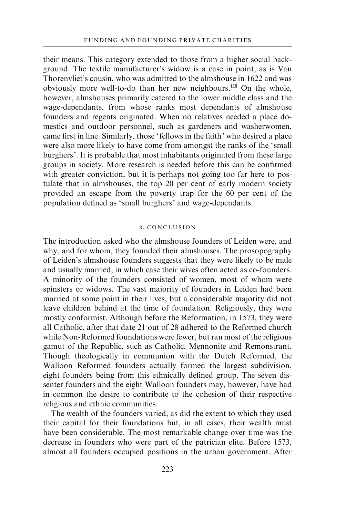their means. This category extended to those from a higher social background. The textile manufacturer's widow is a case in point, as is Van Thorenvliet's cousin, who was admitted to the almshouse in 1622 and was obviously more well-to-do than her new neighbours.<sup>115</sup> On the whole, however, almshouses primarily catered to the lower middle class and the wage-dependants, from whose ranks most dependants of almshouse founders and regents originated. When no relatives needed a place domestics and outdoor personnel, such as gardeners and washerwomen, came first in line. Similarly, those ' fellows in the faith' who desired a place were also more likely to have come from amongst the ranks of the 'small burghers'. It is probable that most inhabitants originated from these large groups in society. More research is needed before this can be confirmed with greater conviction, but it is perhaps not going too far here to postulate that in almshouses, the top 20 per cent of early modern society provided an escape from the poverty trap for the 60 per cent of the population defined as ' small burghers' and wage-dependants.

### 8. CONCLUSION

The introduction asked who the almshouse founders of Leiden were, and why, and for whom, they founded their almshouses. The prosopography of Leiden's almshouse founders suggests that they were likely to be male and usually married, in which case their wives often acted as co-founders. A minority of the founders consisted of women, most of whom were spinsters or widows. The vast majority of founders in Leiden had been married at some point in their lives, but a considerable majority did not leave children behind at the time of foundation. Religiously, they were mostly conformist. Although before the Reformation, in 1573, they were all Catholic, after that date 21 out of 28 adhered to the Reformed church while Non-Reformed foundations were fewer, but ran most of the religious gamut of the Republic, such as Catholic, Mennonite and Remonstrant. Though theologically in communion with the Dutch Reformed, the Walloon Reformed founders actually formed the largest subdivision, eight founders being from this ethnically defined group. The seven dissenter founders and the eight Walloon founders may, however, have had in common the desire to contribute to the cohesion of their respective religious and ethnic communities.

The wealth of the founders varied, as did the extent to which they used their capital for their foundations but, in all cases, their wealth must have been considerable. The most remarkable change over time was the decrease in founders who were part of the patrician elite. Before 1573, almost all founders occupied positions in the urban government. After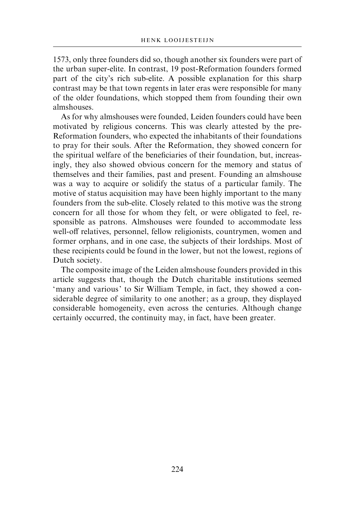1573, only three founders did so, though another six founders were part of the urban super-elite. In contrast, 19 post-Reformation founders formed part of the city's rich sub-elite. A possible explanation for this sharp contrast may be that town regents in later eras were responsible for many of the older foundations, which stopped them from founding their own almshouses.

As for why almshouses were founded, Leiden founders could have been motivated by religious concerns. This was clearly attested by the pre-Reformation founders, who expected the inhabitants of their foundations to pray for their souls. After the Reformation, they showed concern for the spiritual welfare of the beneficiaries of their foundation, but, increasingly, they also showed obvious concern for the memory and status of themselves and their families, past and present. Founding an almshouse was a way to acquire or solidify the status of a particular family. The motive of status acquisition may have been highly important to the many founders from the sub-elite. Closely related to this motive was the strong concern for all those for whom they felt, or were obligated to feel, responsible as patrons. Almshouses were founded to accommodate less well-off relatives, personnel, fellow religionists, countrymen, women and former orphans, and in one case, the subjects of their lordships. Most of these recipients could be found in the lower, but not the lowest, regions of Dutch society.

The composite image of the Leiden almshouse founders provided in this article suggests that, though the Dutch charitable institutions seemed 'many and various' to Sir William Temple, in fact, they showed a considerable degree of similarity to one another; as a group, they displayed considerable homogeneity, even across the centuries. Although change certainly occurred, the continuity may, in fact, have been greater.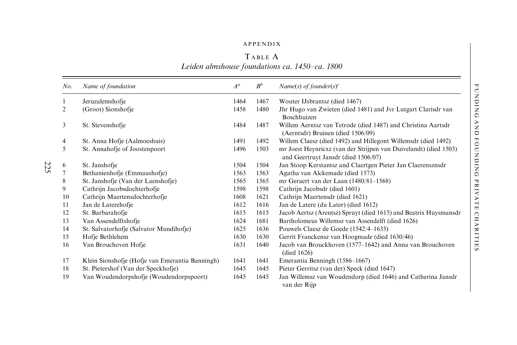#### APPENDIX

# T ABLE ALeiden almshouse foundations ca. 1450–ca. 1800

| $No$ . | Name of foundation                              | $A^a$ | $B^b$ | Name(s) of founder(s) <sup>c</sup>                                                                      |
|--------|-------------------------------------------------|-------|-------|---------------------------------------------------------------------------------------------------------|
|        | Jeruzalemshofje                                 | 1464  | 1467  | Wouter IJsbrantsz (died 1467)                                                                           |
| 2      | (Groot) Sionshofje                              | 1458  | 1480  | Jhr Hugo van Zwieten (died 1481) and Jvr Lutgart Clarisdr van<br><b>Boschhuizen</b>                     |
| 3      | St. Stevenshofje                                | 1484  | 1487  | Willem Aerntsz van Tetrode (died 1487) and Christina Aartsdr<br>(Aerntsdr) Bruinen (died 1506/09)       |
| 4      | St. Anna Hofje (Aalmoeshuis)                    | 1491  | 1492  | Willem Claesz (died 1492) and Hillegont Willemsdr (died 1492)                                           |
| 5      | St. Annahofje of Joostenpoort                   | 1496  | 1503  | mr Joest Heynricxz (van der Strijpen van Duivelandt) (died 1503)<br>and Geertruyt Jansdr (died 1506/07) |
| 6      | St. Janshofje                                   | 1504  | 1504  | Jan Stoop Kerstantsz and Claertgen Pieter Jan Claerensznsdr                                             |
|        | Bethanienhofje (Emmaushofje)                    | 1563  | 1563  | Agatha van Alckemade (died 1573)                                                                        |
| 8      | St. Janshofje (Van der Laenshofje)              | 1565  | 1565  | mr Geraert van der Laan (1480/81-1568)                                                                  |
| 9      | Cathrijn Jacobsdochterhofje                     | 1598  | 1598  | Cathrijn Jacobsdr (died 1601)                                                                           |
| 10     | Cathrijn Maertensdochterhofje                   | 1608  | 1621  | Cathrijn Maertensdr (died 1621)                                                                         |
| 11     | Jan de Laterehofje                              | 1612  | 1616  | Jan de Latere (du Later) (died 1612)                                                                    |
| 12     | St. Barbarahofje                                | 1615  | 1615  | Jacob Aertsz (Arentsz) Spruyt (died 1615) and Beatrix Huysmansdr                                        |
| 13     | Van Assendelftshofje                            | 1624  | 1681  | Bartholomeus Willemsz van Assendelft (died 1626)                                                        |
| 14     | St. Salvatorhofje (Salvator Mundihofje)         | 1625  | 1636  | Pouwels Claesz de Goede (1542/4–1635)                                                                   |
| 15     | Hofje Bethlehem                                 | 1630  | 1630  | Gerrit Franckensz van Hoogmade (died 1630/46)                                                           |
| 16     | Van Brouchoven Hofje                            | 1631  | 1640  | Jacob van Brouckhoven (1577–1642) and Anna van Brouchoven<br>(died 1626)                                |
| 17     | Klein Sionshofje (Hofje van Emerantia Banningh) | 1641  | 1641  | Emerantia Benningh (1586–1667)                                                                          |
| 18     | St. Pietershof (Van der Speckhofje)             | 1645  | 1645  | Pieter Gerritsz (van der) Speck (died 1647)                                                             |
| 19     | Van Woudendorpshofje (Woudendorpspoort)         | 1645  | 1645  | Jan Willemsz van Woudendorp (died 1646) and Catherina Jansdr<br>van der Rijp                            |

225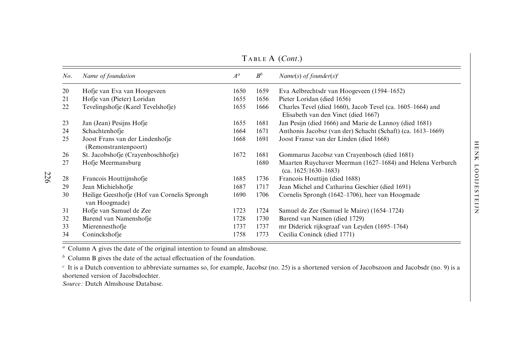| TABLE A (Cont.) |  |
|-----------------|--|
|-----------------|--|

| No. | Name of foundation                                            | $A^a$ | $B^b$ | Name(s) of founder(s) <sup>c</sup>                                                                |
|-----|---------------------------------------------------------------|-------|-------|---------------------------------------------------------------------------------------------------|
| 20  | Hofje van Eva van Hoogeveen                                   | 1650  | 1659  | Eva Aelbrechtsdr van Hoogeveen (1594–1652)                                                        |
| 21  | Hofje van (Pieter) Loridan                                    | 1655  | 1656  | Pieter Loridan (died 1656)                                                                        |
| 22  | Tevelingshofje (Karel Tevelshofje)                            | 1655  | 1666  | Charles Tevel (died 1660), Jacob Tevel (ca. 1605–1664) and<br>Elisabeth van den Vinct (died 1667) |
| 23  | Jan (Jean) Pesijns Hofje                                      | 1655  | 1681  | Jan Pesijn (died 1666) and Marie de Lannoy (died 1681)                                            |
| 24  | Schachtenhofje                                                | 1664  | 1671  | Anthonis Jacobsz (van der) Schacht (Schaft) (ca. 1613–1669)                                       |
| 25  | Joost Frans van der Lindenhofje<br>(Remonstrantenpoort)       | 1668  | 1691  | Joost Fransz van der Linden (died 1668)                                                           |
| 26  | St. Jacobshofje (Crayenboschhofje)                            | 1672  | 1681  | Gommarus Jacobsz van Crayenbosch (died 1681)                                                      |
| 27  | Hofje Meermansburg                                            |       | 1680  | Maarten Ruychaver Meerman (1627–1684) and Helena Verburch<br>$(ca. 1625/1630-1683)$               |
| 28  | Francois Houttijnshofje                                       | 1685  | 1736  | Francois Houttijn (died 1688)                                                                     |
| 29  | Jean Michielshofje                                            | 1687  | 1717  | Jean Michel and Catharina Geschier (died 1691)                                                    |
| 30  | Heilige Geesthofje (Hof van Cornelis Sprongh<br>van Hoogmade) | 1690  | 1706  | Cornelis Sprongh (1642–1706), heer van Hoogmade                                                   |
| 31  | Hofje van Samuel de Zee                                       | 1723  | 1724  | Samuel de Zee (Samuel le Maire) (1654–1724)                                                       |
| 32  | Barend van Namenshofje                                        | 1728  | 1730  | Barend van Namen (died 1729)                                                                      |
| 33  | Mierennesthofje                                               | 1737  | 1737  | mr Diderick rijksgraaf van Leyden (1695–1764)                                                     |
| 34  | Coninckshofje                                                 | 1758  | 1773  | Cecilia Coninck (died 1771)                                                                       |

a Column A gives the date of the original intention to found an almshouse.

 $b$  Column B gives the date of the actual effectuation of the foundation.

 $c<sup>c</sup>$  It is a Dutch convention to abbreviate surnames so, for example, Jacobsz (no. 25) is a shortened version of Jacobszoon and Jacobsdr (no. 9) is a shortened version of Jacobsdochter.

Source: Dutch Almshouse Database.

226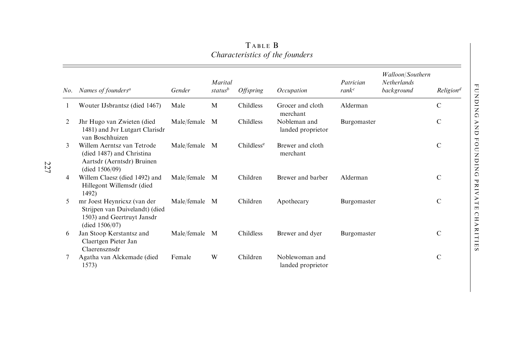| No. | Names of founders <sup>a</sup>                                                                                   | Gender        | Marital<br>status <sup>b</sup> | <i><b>Offspring</b></i> | Occupation                          | Patrician<br>rank <sup>c</sup> | Walloon/Southern<br><b>Netherlands</b><br>background | Religion <sup>d</sup> |
|-----|------------------------------------------------------------------------------------------------------------------|---------------|--------------------------------|-------------------------|-------------------------------------|--------------------------------|------------------------------------------------------|-----------------------|
|     | Wouter IJsbrantsz (died 1467)                                                                                    | Male          | M                              | Childless               | Grocer and cloth<br>merchant        | Alderman                       |                                                      | C                     |
| 2   | Jhr Hugo van Zwieten (died<br>1481) and Jvr Lutgart Clarisdr<br>van Boschhuizen                                  | Male/female   | M                              | Childless               | Nobleman and<br>landed proprietor   | Burgomaster                    |                                                      | C                     |
| 3   | Willem Aerntsz van Tetrode<br>(died 1487) and Christina<br>Aartsdr (Aerntsdr) Bruinen<br>(died 1506/09)          | Male/female   | M                              | Childless <sup>e</sup>  | Brewer and cloth<br>merchant        |                                |                                                      | С                     |
| 4   | Willem Claesz (died 1492) and<br>Hillegont Willemsdr (died<br>1492)                                              | Male/female M |                                | Children                | Brewer and barber                   | Alderman                       |                                                      | C                     |
| 5   | mr Joest Heynricxz (van der<br>Strijpen van Duivelandt) (died<br>1503) and Geertruyt Jansdr<br>(died $1506/07$ ) | Male/female   | $_{\rm M}$                     | Children                | Apothecary                          | Burgomaster                    |                                                      | C                     |
| 6   | Jan Stoop Kerstantsz and<br>Claertgen Pieter Jan<br>Claerensznsdr                                                | Male/female   | $_{\rm M}$                     | Childless               | Brewer and dyer                     | Burgomaster                    |                                                      | C                     |
|     | Agatha van Alckemade (died<br>1573)                                                                              | Female        | W                              | Children                | Noblewoman and<br>landed proprietor |                                |                                                      | C                     |

T ABLE B Characteristics of the founders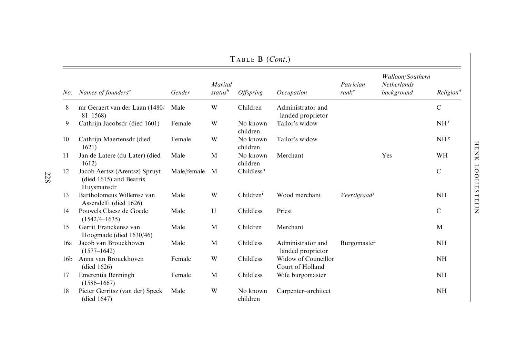| No.             | Names of founders <sup>a</sup>                                         | Gender      | Marital<br>status <sup>b</sup> | <i><b>Offspring</b></i> | Occupation                              | Patrician<br>$rank^c$    | Walloon/Southern<br><b>Netherlands</b><br>background | Religion <sup>d</sup> |
|-----------------|------------------------------------------------------------------------|-------------|--------------------------------|-------------------------|-----------------------------------------|--------------------------|------------------------------------------------------|-----------------------|
| 8               | mr Geraert van der Laan (1480/<br>$81 - 1568$                          | Male        | W                              | Children                | Administrator and<br>landed proprietor  |                          |                                                      | $\mathsf{C}$          |
| 9               | Cathrijn Jacobsdr (died 1601)                                          | Female      | W                              | No known<br>children    | Tailor's widow                          |                          |                                                      | NH <sup>f</sup>       |
| 10              | Cathrijn Maertensdr (died<br>1621)                                     | Female      | W                              | No known<br>children    | Tailor's widow                          |                          |                                                      | NH <sup>g</sup>       |
| 11              | Jan de Latere (du Later) (died<br>1612)                                | Male        | M                              | No known<br>children    | Merchant                                |                          | Yes                                                  | WH                    |
| 12              | Jacob Aertsz (Arentsz) Spruyt<br>(died 1615) and Beatrix<br>Huysmansdr | Male/female | M                              | Childlessh              |                                         |                          |                                                      | $\mathsf{C}$          |
| 13              | Bartholomeus Willemsz van<br>Assendelft (died 1626)                    | Male        | W                              | Children <sup>i</sup>   | Wood merchant                           | Veertigraad <sup>j</sup> |                                                      | <b>NH</b>             |
| 14              | Pouwels Claesz de Goede<br>$(1542/4 - 1635)$                           | Male        | U                              | Childless               | Priest                                  |                          |                                                      | $\mathsf{C}$          |
| 15              | Gerrit Franckensz van<br>Hoogmade (died 1630/46)                       | Male        | M                              | Children                | Merchant                                |                          |                                                      | M                     |
| 16a             | Jacob van Brouckhoven<br>$(1577 - 1642)$                               | Male        | M                              | Childless               | Administrator and<br>landed proprietor  | Burgomaster              |                                                      | <b>NH</b>             |
| 16 <sub>b</sub> | Anna van Brouckhoven<br>(died 1626)                                    | Female      | W                              | Childless               | Widow of Councillor<br>Court of Holland |                          |                                                      | <b>NH</b>             |
| 17              | Emerentia Benningh<br>$(1586 - 1667)$                                  | Female      | M                              | Childless               | Wife burgomaster                        |                          |                                                      | <b>NH</b>             |
| 18              | Pieter Gerritsz (van der) Speck<br>(died 1647)                         | Male        | W                              | No known<br>children    | Carpenter-architect                     |                          |                                                      | <b>NH</b>             |

T ABLE B (Cont.)

HENK LOOIJESTEIJN HENK LOOIJESTEIJN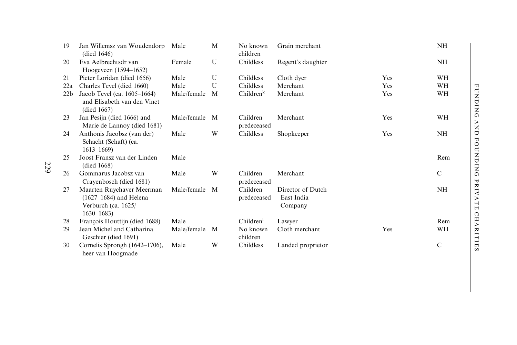| 19              | Jan Willemsz van Woudendorp<br>(died 1646)                                                      | Male          | M | No known<br>children    | Grain merchant                             |     | NH          |
|-----------------|-------------------------------------------------------------------------------------------------|---------------|---|-------------------------|--------------------------------------------|-----|-------------|
| 20              | Eva Aelbrechtsdr van<br>Hoogeveen (1594–1652)                                                   | Female        | U | Childless               | Regent's daughter                          |     | NH          |
| 21              | Pieter Loridan (died 1656)                                                                      | Male          | U | Childless               | Cloth dyer                                 | Yes | WH          |
| 22a             | Charles Tevel (died 1660)                                                                       | Male          | U | Childless               | Merchant                                   | Yes | WH          |
| 22 <sub>b</sub> | Jacob Tevel (ca. 1605–1664)<br>and Elisabeth van den Vinct<br>(died 1667)                       | Male/female   | M | Children <sup>k</sup>   | Merchant                                   | Yes | WH          |
| 23              | Jan Pesijn (died 1666) and<br>Marie de Lannoy (died 1681)                                       | Male/female   | M | Children<br>predeceased | Merchant                                   | Yes | WH          |
| 24              | Anthonis Jacobsz (van der)<br>Schacht (Schaft) (ca.<br>$1613 - 1669$                            | Male          | W | Childless               | Shopkeeper                                 | Yes | NH          |
| 25              | Joost Fransz van der Linden<br>(died 1668)                                                      | Male          |   |                         |                                            |     | Rem         |
| 26              | Gommarus Jacobsz van<br>Crayenbosch (died 1681)                                                 | Male          | W | Children<br>predeceased | Merchant                                   |     | C           |
| 27              | Maarten Ruychaver Meerman<br>$(1627 - 1684)$ and Helena<br>Verburch (ca. 1625/<br>$1630 - 1683$ | Male/female M |   | Children<br>predeceased | Director of Dutch<br>East India<br>Company |     | NH          |
| 28              | François Houttijn (died 1688)                                                                   | Male          |   | Children <sup>1</sup>   | Lawyer                                     |     | Rem         |
| 29              | Jean Michel and Catharina<br>Geschier (died 1691)                                               | Male/female M |   | No known<br>children    | Cloth merchant                             | Yes | WH          |
| 30              | Cornelis Sprongh $(1642-1706)$ ,<br>heer van Hoogmade                                           | Male          | W | Childless               | Landed proprietor                          |     | $\mathbf C$ |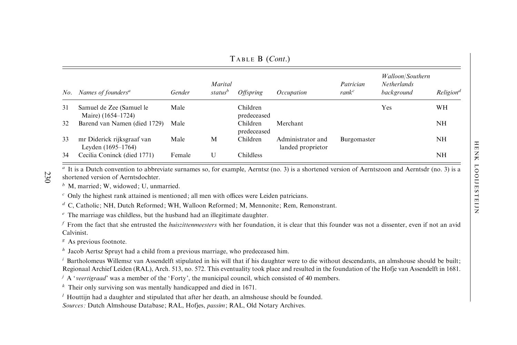| No. | Names of founders <sup>a</sup>                   | Gender | Marital<br>status <sup>b</sup> | <i>Offspring</i>        | Occupation                             | Patrician<br>rank <sup>c</sup> | Walloon/Southern<br><b>Netherlands</b><br>background | Religion <sup>d</sup> |
|-----|--------------------------------------------------|--------|--------------------------------|-------------------------|----------------------------------------|--------------------------------|------------------------------------------------------|-----------------------|
|     |                                                  |        |                                |                         |                                        |                                |                                                      |                       |
| 31  | Samuel de Zee (Samuel le<br>Maire) (1654–1724)   | Male   |                                | Children<br>predeceased |                                        |                                | Yes                                                  | WH                    |
| 32  | Barend van Namen (died 1729)                     | Male   |                                | Children<br>predeceased | Merchant                               |                                |                                                      | <b>NH</b>             |
| 33  | mr Diderick rijksgraaf van<br>Leyden (1695–1764) | Male   | M                              | Children                | Administrator and<br>landed proprietor | <b>Burgomaster</b>             |                                                      | NH                    |
| 34  | Cecilia Coninck (died 1771)                      | Female | U                              | Childless               |                                        |                                |                                                      | NH                    |

T ABLE B (Cont.)

a It is <sup>a</sup> Dutch convention to abbreviate surnames so, for example, Aerntsz (no. 3) is <sup>a</sup> shortened version of Aerntszoon and Aerntsdr (no. 3) is <sup>a</sup> shortened version of Aerntsdochter.

 $<sup>b</sup>$  M, married; W, widowed; U, unmarried.</sup>

 $\epsilon$  Only the highest rank attained is mentioned; all men with offices were Leiden patricians.

 $d\,$  C, Catholic; NH, Dutch Reformed; WH, Walloon Reformed; M, Mennonite; Rem, Remonstrant.

 $\epsilon$  The marriage was childless, but the husband had an illegitimate daughter.

From the fact that she entrusted the *huiszittenmeesters* with her foundation, it is clear that this founder was not a dissenter, even if not an avid Calvinist.

 $s$  As previous footnote.

230

 $h$  Jacob Aertsz Spruyt had a child from a previous marriage, who predeceased him.

 $<sup>i</sup>$  Bartholomeus Willemsz van Assendelft stipulated in his will that if his daughter were to die without descendants, an almshouse should be built;</sup> Regionaal Archief Leiden (RAL), Arch. 513, no. 572. This eventuality took place and resulted in the foundation of the Hofje van Assendelft in 1681.

 $\mu$  A 'veertigraad' was a member of the 'Forty', the municipal council, which consisted of 40 members.

 $k$  Their only surviving son was mentally handicapped and died in 1671.

 $\ell$  Houttijn had a daughter and stipulated that after her death, an almshouse should be founded.

Sources: Dutch Almshouse Database; RAL, Hofjes, *passim*; RAL, Old Notary Archives.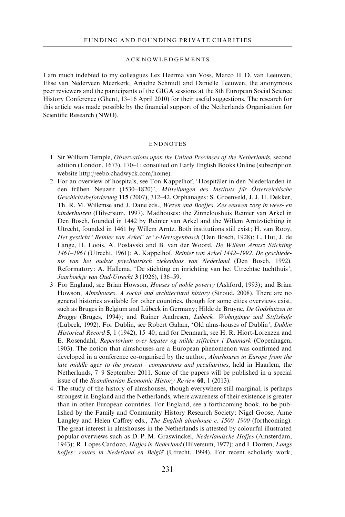#### ACKNOWLEDGEMENTS

I am much indebted to my colleagues Lex Heerma van Voss, Marco H. D. van Leeuwen, Elise van Nederveen Meerkerk, Ariadne Schmidt and Daniëlle Teeuwen, the anonymous peer reviewers and the participants of the GIGA sessions at the 8th European Social Science History Conference (Ghent, 13–16 April 2010) for their useful suggestions. The research for this article was made possible by the financial support of the Netherlands Organisation for Scientific Research (NWO).

#### ENDNOTES

- 1 Sir William Temple, Observations upon the United Provinces of the Netherlands, second edition (London, 1673), 170–1; consulted on Early English Books Online (subscription website http://eebo.chadwyck.com/home).
- 2 For an overview of hospitals, see Ton Kappelhof, 'Hospitäler in den Niederlanden in den frühen Neuzeit (1530–1820)', Mitteilungen des Instituts für Österreichische Geschichtsbeforderung 115 (2007), 312–42. Orphanages: S. Groenveld, J. J. H. Dekker, Th. R. M. Willemse and J. Dane eds., Wezen and Boefjes. Zes eeuwen zorg in wees- en kinderhuizen (Hilversum, 1997). Madhouses: the Zinnelooshuis Reinier van Arkel in Den Bosch, founded in 1442 by Reinier van Arkel and the Willem Arntzstichting in Utrecht, founded in 1461 by Willem Arntz. Both institutions still exist; H. van Rooy, Het gesticht 'Reinier van Arkel' te 's-Hertogenbosch (Den Bosch, 1928); L. Hut, J. de Lange, H. Loois, A. Poslavski and B. van der Woord, De Willem Arntsz Stichting 1461–1961 (Utrecht, 1961); A. Kappelhof, Reinier van Arkel 1442–1992. De geschiedenis van het oudste psychiatrisch ziekenhuis van Nederland (Den Bosch, 1992). Reformatory: A. Hallema, 'De stichting en inrichting van het Utrechtse tuchthuis', Jaarboekje van Oud-Utrecht 3 (1926), 136-59.
- 3 For England, see Brian Howson, Houses of noble poverty (Ashford, 1993); and Brian Howson, Almshouses. A social and architectural history (Stroud, 2008). There are no general histories available for other countries, though for some cities overviews exist, such as Bruges in Belgium and Lübeck in Germany; Hilde de Bruyne, De Godshuizen in Brugge (Bruges, 1994); and Rainer Andresen, Lübeck. Wohngänge und Stiftshöfe (Lübeck, 1992). For Dublin, see Robert Gahan, 'Old alms-houses of Dublin', Dublin Historical Record 5, 1 (1942), 15–40; and for Denmark, see H. R. Hiort-Lorenzen and E. Rosendahl, Repertorium over legater og milde stiftelser i Danmark (Copenhagen, 1903). The notion that almshouses are a European phenomenon was confirmed and developed in a conference co-organised by the author, *Almshouses in Europe from the* late middle ages to the present – comparisons and peculiarities, held in Haarlem, the Netherlands, 7–9 September 2011. Some of the papers will be published in a special issue of the Scandinavian Economic History Review 60, 1 (2013).
- 4 The study of the history of almshouses, though everywhere still marginal, is perhaps strongest in England and the Netherlands, where awareness of their existence is greater than in other European countries. For England, see a forthcoming book, to be published by the Family and Community History Research Society: Nigel Goose, Anne Langley and Helen Caffrey eds., The English almshouse c. 1500-1900 (forthcoming). The great interest in almshouses in the Netherlands is attested by colourful illustrated popular overviews such as D. P. M. Graswinckel, Nederlandsche Hofjes (Amsterdam, 1943); R. Lopes Cardozo, *Hofjes in Nederland* (Hilversum, 1977); and I. Dorren, Langs hofjes: routes in Nederland en België (Utrecht, 1994). For recent scholarly work,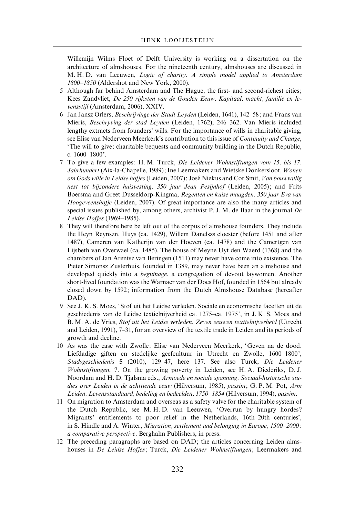Willemijn Wilms Floet of Delft University is working on a dissertation on the architecture of almshouses. For the nineteenth century, almshouses are discussed in M. H. D. van Leeuwen, Logic of charity. A simple model applied to Amsterdam 1800–1850 (Aldershot and New York, 2000).

- 5 Although far behind Amsterdam and The Hague, the first- and second-richest cities; Kees Zandvliet, De 250 rijksten van de Gouden Eeuw. Kapitaal, macht, familie en levensstijl (Amsterdam, 2006), XXIV.
- 6 Jan Jansz Orlers, Beschrijvinge der Stadt Leyden (Leiden, 1641), 142–58; and Frans van Mieris, Beschryving der stad Leyden (Leiden, 1762), 246–362. Van Mieris included lengthy extracts from founders' wills. For the importance of wills in charitable giving, see Elise van Nederveen Meerkerk's contribution to this issue of Continuity and Change, 'The will to give: charitable bequests and community building in the Dutch Republic, c. 1600–1800'.
- 7 To give a few examples: H. M. Turck, Die Leidener Wohnstiftungen vom 15. bis 17. Jahrhundert (Aix-la-Chapelle, 1989); Ine Leermakers and Wietske Donkersloot, Wonen om Gods wille in Leidse hofjes (Leiden, 2007); José Niekus and Cor Smit, Van bouwvallig nest tot bijzondere huisvesting. 350 jaar Jean Pesijnhof (Leiden, 2005); and Frits Boersma and Greet Dusseldorp-Kingma, Regenten en kuise maagden. 350 jaar Eva van Hoogeveenshofje (Leiden, 2007). Of great importance are also the many articles and special issues published by, among others, archivist P. J. M. de Baar in the journal De Leidse Hofjes (1969–1985).
- 8 They will therefore here be left out of the corpus of almshouse founders. They include the Heyn Reynszn. Huys (ca. 1429), Willem Danelszs cloester (before 1451 and after 1487), Cameren van Katherijn van der Hoeven (ca. 1478) and the Camertgen van Lijsbeth van Overwael (ca. 1485). The house of Meyne Uyt den Waerd (1368) and the chambers of Jan Arentsz van Beringen (1511) may never have come into existence. The Pieter Simonsz Zusterhuis, founded in 1389, may never have been an almshouse and developed quickly into a beguinage, a congregation of devout laywomen. Another short-lived foundation was the Warnaer van der Does Hof, founded in 1564 but already closed down by 1592; information from the Dutch Almshouse Database (hereafter DAD).
- 9 See J. K. S. Moes, 'Stof uit het Leidse verleden. Sociale en economische facetten uit de geschiedenis van de Leidse textielnijverheid ca. 1275–ca. 1975', in J. K. S. Moes and B. M. A. de Vries, Stof uit het Leidse verleden. Zeven eeuwen textielnijverheid (Utrecht and Leiden, 1991), 7–31, for an overview of the textile trade in Leiden and its periods of growth and decline.
- 10 As was the case with Zwolle: Elise van Nederveen Meerkerk, 'Geven na de dood. Liefdadige giften en stedelijke geefcultuur in Utrecht en Zwolle, 1600–1800', Stadsgeschiedenis 5 (2010), 129–47, here 137. See also Turck, Die Leidener Wohnstiftungen, 7. On the growing poverty in Leiden, see H. A. Diederiks, D. J. Noordam and H. D. Tjalsma eds., Armoede en sociale spanning. Sociaal-historische studies over Leiden in de achttiende eeuw (Hilversum, 1985), passim; G. P. M. Pot, Arm Leiden. Levensstandaard, bedeling en bedeelden, 1750–1854 (Hilversum, 1994), passim.
- 11 On migration to Amsterdam and overseas as a safety valve for the charitable system of the Dutch Republic, see M. H. D. van Leeuwen, 'Overrun by hungry hordes? Migrants' entitlements to poor relief in the Netherlands, 16th–20th centuries', in S. Hindle and A. Winter, *Migration, settlement and belonging in Europe, 1500–2000*: a comparative perspective. Berghahn Publishers, in press.
- 12 The preceding paragraphs are based on DAD; the articles concerning Leiden almshouses in De Leidse Hofjes; Turck, Die Leidener Wohnstiftungen; Leermakers and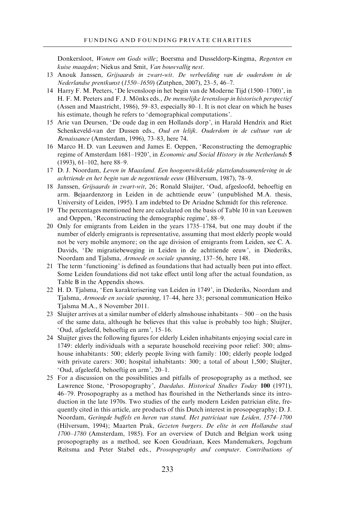Donkersloot, Wonen om Gods wille; Boersma and Dusseldorp-Kingma, Regenten en kuise maagden; Niekus and Smit, Van bouwvallig nest.

- 13 Anouk Janssen, Grijsaards in zwart-wit. De verbeelding van de ouderdom in de Nederlandse prentkunst (1550–1650) (Zutphen, 2007), 23–5, 46–7.
- 14 Harry F. M. Peeters, 'De levensloop in het begin van de Moderne Tijd (1500–1700)', in H. F. M. Peeters and F. J. Mönks eds., De menselijke levensloop in historisch perspectief (Assen and Maastricht, 1986), 59–83, especially 80–1. It is not clear on which he bases his estimate, though he refers to 'demographical computations'.
- 15 Arie van Deursen, 'De oude dag in een Hollands dorp', in Harald Hendrix and Riet Schenkeveld-van der Dussen eds., Oud en lelijk. Ouderdom in de cultuur van de Renaissance (Amsterdam, 1996), 73–83, here 74.
- 16 Marco H. D. van Leeuwen and James E. Oeppen, 'Reconstructing the demographic regime of Amsterdam 1681–1920', in *Economic and Social History in the Netherlands* 5 (1993), 61–102, here 88–9.
- 17 D. J. Noordam, Leven in Maasland. Een hoogontwikkelde plattelandssamenleving in de achttiende en het begin van de negentiende eeuw (Hilversum, 1987), 78–9.
- 18 Janssen, Grijsaards in zwart-wit, 26; Ronald Sluijter, 'Oud, afgesloofd, behoeftig en arm. Bejaardenzorg in Leiden in de achttiende eeuw' (unpublished M.A. thesis, University of Leiden, 1995). I am indebted to Dr Ariadne Schmidt for this reference.
- 19 The percentages mentioned here are calculated on the basis of Table 10 in van Leeuwen and Oeppen, 'Reconstructing the demographic regime', 88–9.
- 20 Only for emigrants from Leiden in the years 1735–1784, but one may doubt if the number of elderly emigrants is representative, assuming that most elderly people would not be very mobile anymore; on the age division of emigrants from Leiden, see C. A. Davids, 'De migratiebeweging in Leiden in de achttiende eeuw', in Diederiks, Noordam and Tjalsma, Armoede en sociale spanning, 137–56, here 148.
- 21 The term 'functioning' is defined as foundations that had actually been put into effect. Some Leiden foundations did not take effect until long after the actual foundation, as Table B in the Appendix shows.
- 22 H. D. Tjalsma, 'Een karakterisering van Leiden in 1749', in Diederiks, Noordam and Tjalsma, Armoede en sociale spanning, 17–44, here 33; personal communication Heiko Tjalsma M.A., 8 November 2011.
- 23 Sluijter arrives at a similar number of elderly almshouse inhabitants  $-500$  on the basis of the same data, although he believes that this value is probably too high; Sluijter, 'Oud, afgeleefd, behoeftig en arm', 15–16.
- 24 Sluijter gives the following figures for elderly Leiden inhabitants enjoying social care in 1749: elderly individuals with a separate household receiving poor relief: 300; almshouse inhabitants: 500; elderly people living with family: 100; elderly people lodged with private carers: 300; hospital inhabitants: 300; a total of about 1,500; Sluijter, 'Oud, afgeleefd, behoeftig en arm', 20–1.
- 25 For a discussion on the possibilities and pitfalls of prosopography as a method, see Lawrence Stone, 'Prosopography', Daedalus. Historical Studies Today 100 (1971), 46–79. Prosopography as a method has flourished in the Netherlands since its introduction in the late 1970s. Two studies of the early modern Leiden patrician elite, frequently cited in this article, are products of this Dutch interest in prosopography; D. J. Noordam, Geringde buffels en heren van stand. Het patriciaat van Leiden, 1574–1700 (Hilversum, 1994); Maarten Prak, Gezeten burgers. De elite in een Hollandse stad 1700–1780 (Amsterdam, 1985). For an overview of Dutch and Belgian work using prosopography as a method, see Koen Goudriaan, Kees Mandemakers, Jogchum Reitsma and Peter Stabel eds., Prosopography and computer. Contributions of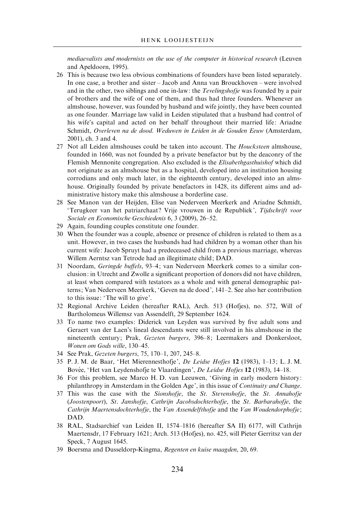mediaevalists and modernists on the use of the computer in historical research (Leuven and Apeldoorn, 1995).

- 26 This is because two less obvious combinations of founders have been listed separately. In one case, a brother and sister – Jacob and Anna van Brouckhoven – were involved and in the other, two siblings and one in-law: the *Tevelingshofje* was founded by a pair of brothers and the wife of one of them, and thus had three founders. Whenever an almshouse, however, was founded by husband and wife jointly, they have been counted as one founder. Marriage law valid in Leiden stipulated that a husband had control of his wife's capital and acted on her behalf throughout their married life: Ariadne Schmidt, Overleven na de dood. Weduwen in Leiden in de Gouden Eeuw (Amsterdam, 2001), ch. 3 and 4.
- 27 Not all Leiden almshouses could be taken into account. The *Houcksteen* almshouse, founded in 1660, was not founded by a private benefactor but by the deaconry of the Flemish Mennonite congregation. Also excluded is the Elisabethgasthuishof which did not originate as an almshouse but as a hospital, developed into an institution housing corrodians and only much later, in the eighteenth century, developed into an almshouse. Originally founded by private benefactors in 1428, its different aims and administrative history make this almshouse a borderline case.
- 28 See Manon van der Heijden, Elise van Nederveen Meerkerk and Ariadne Schmidt, 'Terugkeer van het patriarchaat? Vrije vrouwen in de Republiek', Tijdschrift voor Sociale en Economische Geschiedenis 6, 3 (2009), 26–52.
- 29 Again, founding couples constitute one founder.
- 30 When the founder was a couple, absence or presence of children is related to them as a unit. However, in two cases the husbands had had children by a woman other than his current wife: Jacob Spruyt had a predeceased child from a previous marriage, whereas Willem Aerntsz van Tetrode had an illegitimate child; DAD.
- 31 Noordam, Geringde buffels, 93–4; van Nederveen Meerkerk comes to a similar conclusion: in Utrecht and Zwolle a significant proportion of donors did not have children, at least when compared with testators as a whole and with general demographic patterns; Van Nederveen Meerkerk, 'Geven na de dood', 141–2. See also her contribution to this issue: 'The will to give'.
- 32 Regional Archive Leiden (hereafter RAL), Arch. 513 (Hofjes), no. 572, Will of Bartholomeus Willemsz van Assendelft, 29 September 1624.
- 33 To name two examples: Diderick van Leyden was survived by five adult sons and Geraert van der Laen's lineal descendants were still involved in his almshouse in the nineteenth century; Prak, Gezeten burgers, 396–8; Leermakers and Donkersloot, Wonen om Gods wille, 130–45.
- 34 See Prak, Gezeten burgers, 75, 170–1, 207, 245–8.
- 35 P. J. M. de Baar, 'Het Mierennesthofje', De Leidse Hofjes 12 (1983), 1–13; L. J. M. Bovée, 'Het van Leydenshofje te Vlaardingen', De Leidse Hofjes 12 (1983), 14–18.
- 36 For this problem, see Marco H. D. van Leeuwen, 'Giving in early modern history: philanthropy in Amsterdam in the Golden Age', in this issue of Continuity and Change.
- 37 This was the case with the Sionshofje, the St. Stevenshofje, the St. Annahofje (Joostenpoort), St. Janshofje, Cathrijn Jacobsdochterhofje, the St. Barbarahofje, the Cathrijn Maertensdochterhofje, the Van Assendelfthofje and the Van Woudendorphofje; DAD.
- 38 RAL, Stadsarchief van Leiden II, 1574–1816 (hereafter SA II) 6177, will Cathrijn Maertensdr, 17 February 1621; Arch. 513 (Hofjes), no. 425, will Pieter Gerritsz van der Speck, 7 August 1645.
- 39 Boersma and Dusseldorp-Kingma, Regenten en kuise maagden, 20, 69.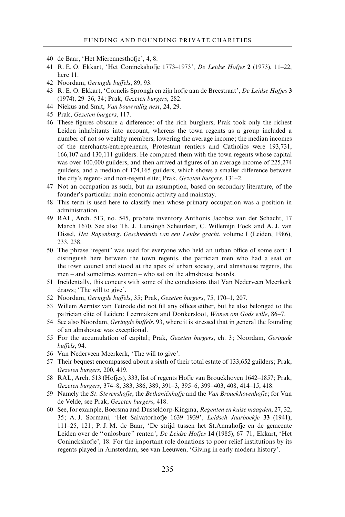- 40 de Baar, 'Het Mierennesthofje', 4, 8.
- 41 R. E. O. Ekkart, 'Het Coninckshofje 1773–1973', De Leidse Hofjes 2 (1973), 11–22, here 11.
- 42 Noordam, Geringde buffels, 89, 93.
- 43 R. E. O. Ekkart, 'Cornelis Sprongh en zijn hofje aan de Breestraat', De Leidse Hofjes 3 (1974), 29–36, 34; Prak, Gezeten burgers, 282.
- 44 Niekus and Smit, Van bouwvallig nest, 24, 29.
- 45 Prak, Gezeten burgers, 117.
- 46 These figures obscure a difference: of the rich burghers, Prak took only the richest Leiden inhabitants into account, whereas the town regents as a group included a number of not so wealthy members, lowering the average income; the median incomes of the merchants/entrepreneurs, Protestant rentiers and Catholics were 193,731, 166,107 and 130,111 guilders. He compared them with the town regents whose capital was over 100,000 guilders, and then arrived at figures of an average income of 225,274 guilders, and a median of 174,165 guilders, which shows a smaller difference between the city's regent- and non-regent elite; Prak, Gezeten burgers, 131-2.
- 47 Not an occupation as such, but an assumption, based on secondary literature, of the founder's particular main economic activity and mainstay.
- 48 This term is used here to classify men whose primary occupation was a position in administration.
- 49 RAL, Arch. 513, no. 545, probate inventory Anthonis Jacobsz van der Schacht, 17 March 1670. See also Th. J. Lunsingh Scheurleer, C. Willemijn Fock and A. J. van Dissel, Het Rapenburg. Geschiedenis van een Leidse gracht, volume I (Leiden, 1986), 233, 238.
- 50 The phrase 'regent' was used for everyone who held an urban office of some sort: I distinguish here between the town regents, the patrician men who had a seat on the town council and stood at the apex of urban society, and almshouse regents, the men – and sometimes women – who sat on the almshouse boards.
- 51 Incidentally, this concurs with some of the conclusions that Van Nederveen Meerkerk draws; 'The will to give'.
- 52 Noordam, Geringde buffels, 35; Prak, Gezeten burgers, 75, 170–1, 207.
- 53 Willem Aerntsz van Tetrode did not fill any offices either, but he also belonged to the patrician elite of Leiden; Leermakers and Donkersloot, Wonen om Gods wille, 86–7.
- 54 See also Noordam, *Geringde buffels*, 93, where it is stressed that in general the founding of an almshouse was exceptional.
- 55 For the accumulation of capital; Prak, Gezeten burgers, ch. 3; Noordam, Geringde buffels, 94.
- 56 Van Nederveen Meerkerk, 'The will to give'.
- 57 Their bequest encompassed about a sixth of their total estate of 133,652 guilders; Prak, Gezeten burgers, 200, 419.
- 58 RAL, Arch. 513 (Hofjes), 333, list of regents Hofje van Brouckhoven 1642–1857; Prak, Gezeten burgers, 374–8, 383, 386, 389, 391–3, 395–6, 399–403, 408, 414–15, 418.
- 59 Namely the St. Stevenshofje, the Bethanienhofje and the Van Brouckhovenhofje; for Van de Velde, see Prak, Gezeten burgers, 418.
- 60 See, for example, Boersma and Dusseldorp-Kingma, Regenten en kuise maagden, 27, 32, 35; A. J. Sormani, 'Het Salvatorhofje 1639–1939', Leidsch Jaarboekje 33 (1941), 111–25, 121; P. J. M. de Baar, 'De strijd tussen het St.Annahofje en de gemeente Leiden over de "onlosbare" renten', De Leidse Hofjes 14 (1985), 67-71; Ekkart, 'Het Coninckshofje', 18. For the important role donations to poor relief institutions by its regents played in Amsterdam, see van Leeuwen, 'Giving in early modern history'.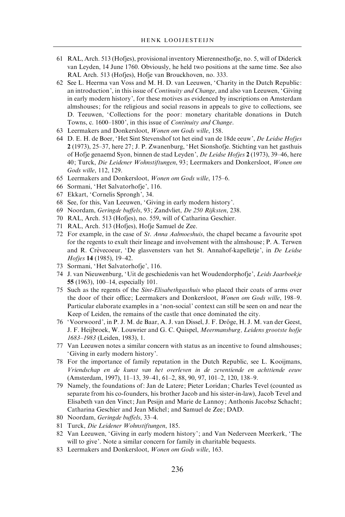- 61 RAL, Arch. 513 (Hofjes), provisional inventory Mierennesthofje, no. 5, will of Diderick van Leyden, 14 June 1760. Obviously, he held two positions at the same time. See also RAL Arch. 513 (Hofjes), Hofje van Brouckhoven, no. 333.
- 62 See L. Heerma van Voss and M. H. D. van Leeuwen, 'Charity in the Dutch Republic: an introduction', in this issue of Continuity and Change, and also van Leeuwen, 'Giving in early modern history', for these motives as evidenced by inscriptions on Amsterdam almshouses; for the religious and social reasons in appeals to give to collections, see D. Teeuwen, 'Collections for the poor: monetary charitable donations in Dutch Towns, c. 1600–1800', in this issue of Continuity and Change.
- 63 Leermakers and Donkersloot, Wonen om Gods wille, 158.
- 64 D. E. H. de Boer, 'Het Sint Stevenshof tot het eind van de 18de eeuw', De Leidse Hofjes 2 (1973), 25–37, here 27; J. P. Zwanenburg, 'Het Sionshofje. Stichting van het gasthuis of Hofje genaemd Syon, binnen de stad Leyden', De Leidse Hofjes 2 (1973), 39–46, here 40; Turck, Die Leidener Wohnstiftungen, 93; Leermakers and Donkersloot, Wonen om Gods wille, 112, 129.
- 65 Leermakers and Donkersloot, Wonen om Gods wille, 175–6.
- 66 Sormani, 'Het Salvatorhofje', 116.
- 67 Ekkart, 'Cornelis Sprongh', 34.
- 68 See, for this, Van Leeuwen, 'Giving in early modern history'.
- 69 Noordam, Geringde buffels, 93; Zandvliet, De 250 Rijksten, 238.
- 70 RAL, Arch. 513 (Hofjes), no. 559, will of Catharina Geschier.
- 71 RAL, Arch. 513 (Hofjes), Hofje Samuel de Zee.
- 72 For example, in the case of St. Anna Aalmoeshuis, the chapel became a favourite spot for the regents to exult their lineage and involvement with the almshouse; P. A. Terwen and R. Crèvecoeur, 'De glasvensters van het St. Annahof-kapelletje', in De Leidse Hofjes 14 (1985), 19–42.
- 73 Sormani, 'Het Salvatorhofje', 116.
- 74 J. van Nieuwenburg, 'Uit de geschiedenis van het Woudendorphofje', Leids Jaarboekje 55 (1963), 100–14, especially 101.
- 75 Such as the regents of the Sint-Elisabethgasthuis who placed their coats of arms over the door of their office; Leermakers and Donkersloot, Wonen om Gods wille, 198–9. Particular elaborate examples in a 'non-social' context can still be seen on and near the Keep of Leiden, the remains of the castle that once dominated the city.
- 76 'Voorwoord', in P. J. M. de Baar, A. J. van Dissel, J. F. Dröge, H. J. M. van der Geest, J. F. Heijbroek, W. Louwrier and G. C. Quispel, Meermansburg, Leidens grootste hofje 1683–1983 (Leiden, 1983), 1.
- 77 Van Leeuwen notes a similar concern with status as an incentive to found almshouses; 'Giving in early modern history'.
- 78 For the importance of family reputation in the Dutch Republic, see L. Kooijmans, Vriendschap en de kunst van het overleven in de zeventiende en achttiende eeuw (Amsterdam, 1997), 11–13, 39–41, 61–2, 88, 90, 97, 101–2, 120, 138–9.
- 79 Namely, the foundations of: Jan de Latere; Pieter Loridan; Charles Tevel (counted as separate from his co-founders, his brother Jacob and his sister-in-law), Jacob Tevel and Elisabeth van den Vinct; Jan Pesijn and Marie de Lannoy; Anthonis Jacobsz Schacht; Catharina Geschier and Jean Michel; and Samuel de Zee; DAD.
- 80 Noordam, Geringde buffels, 33–4.
- 81 Turck, Die Leidener Wohnstiftungen, 185.
- 82 Van Leeuwen, 'Giving in early modern history'; and Van Nederveen Meerkerk, 'The will to give'. Note a similar concern for family in charitable bequests.
- 83 Leermakers and Donkersloot, Wonen om Gods wille, 163.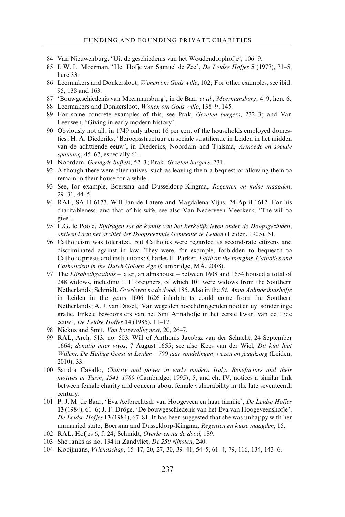- 84 Van Nieuwenburg, 'Uit de geschiedenis van het Woudendorphofje', 106–9.
- 85 I. W. L. Moerman, 'Het Hofje van Samuel de Zee', De Leidse Hofjes 5 (1977), 31–5, here 33.
- 86 Leermakers and Donkersloot, Wonen om Gods wille, 102; For other examples, see ibid. 95, 138 and 163.
- 87 'Bouwgeschiedenis van Meermansburg', in de Baar et al., Meermansburg, 4–9, here 6.
- 88 Leermakers and Donkersloot, Wonen om Gods wille, 138–9, 145.
- 89 For some concrete examples of this, see Prak, Gezeten burgers, 232–3; and Van Leeuwen, 'Giving in early modern history'.
- 90 Obviously not all; in 1749 only about 16 per cent of the households employed domestics; H. A. Diederiks, 'Beroepsstructuur en sociale stratificatie in Leiden in het midden van de achttiende eeuw', in Diederiks, Noordam and Tjalsma, Armoede en sociale spanning, 45–67, especially 61.
- 91 Noordam, Geringde buffels, 52–3; Prak, Gezeten burgers, 231.
- 92 Although there were alternatives, such as leaving them a bequest or allowing them to remain in their house for a while.
- 93 See, for example, Boersma and Dusseldorp-Kingma, Regenten en kuise maagden, 29–31, 44–5.
- 94 RAL, SA II 6177, Will Jan de Latere and Magdalena Vijns, 24 April 1612. For his charitableness, and that of his wife, see also Van Nederveen Meerkerk, 'The will to give'.
- 95 L.G. le Poole, Bijdragen tot de kennis van het kerkelijk leven onder de Doopsgezinden, ontleend aan het archief der Doopsgezinde Gemeente te Leiden (Leiden, 1905), 51.
- 96 Catholicism was tolerated, but Catholics were regarded as second-rate citizens and discriminated against in law. They were, for example, forbidden to bequeath to Catholic priests and institutions; Charles H. Parker, Faith on the margins. Catholics and Catholicism in the Dutch Golden Age (Cambridge, MA, 2008).
- 97 The *Elisabethgasthuis* later, an almshouse between 1608 and 1654 housed a total of 248 widows, including 111 foreigners, of which 101 were widows from the Southern Netherlands; Schmidt, Overleven na de dood, 185. Also in the St. Anna Aalmoeshuishofje in Leiden in the years 1606–1626 inhabitants could come from the Southern Netherlands; A. J. van Dissel, 'Van wege den hoochdringenden noot en uyt sonderlinge gratie. Enkele bewoonsters van het Sint Annahofje in het eerste kwart van de 17de eeuw', De Leidse Hofjes 14 (1985), 11–17.
- 98 Niekus and Smit, Van bouwvallig nest, 20, 26–7.
- 99 RAL, Arch. 513, no. 503, Will of Anthonis Jacobsz van der Schacht, 24 September 1664; donatio inter vivos, 7 August 1655; see also Kees van der Wiel, Dit kint hiet Willem. De Heilige Geest in Leiden – 700 jaar vondelingen, wezen en jeugdzorg (Leiden, 2010), 33.
- 100 Sandra Cavallo, Charity and power in early modern Italy. Benefactors and their motives in Turin, 1541–1789 (Cambridge, 1995), 5, and ch. IV, notices a similar link between female charity and concern about female vulnerability in the late seventeenth century.
- 101 P. J. M. de Baar, 'Eva Aelbrechtsdr van Hoogeveen en haar familie', De Leidse Hofjes 13 (1984), 61–6; J. F. Dröge, 'De bouwgeschiedenis van het Eva van Hoogeveenshofje', De Leidse Hofjes 13 (1984), 67–81. It has been suggested that she was unhappy with her unmarried state; Boersma and Dusseldorp-Kingma, Regenten en kuise maagden, 15.
- 102 RAL, Hofjes 6, f. 24; Schmidt, Overleven na de dood, 189.
- 103 She ranks as no. 134 in Zandvliet, De 250 rijksten, 240.
- 104 Kooijmans, Vriendschap, 15–17, 20, 27, 30, 39–41, 54–5, 61–4, 79, 116, 134, 143–6.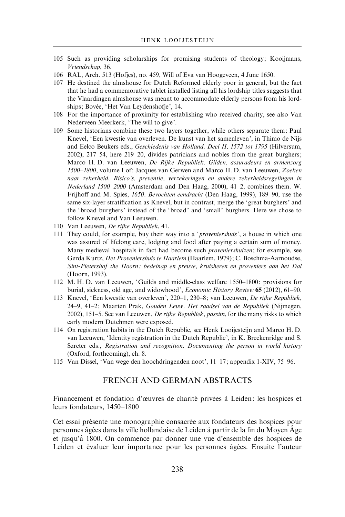- 105 Such as providing scholarships for promising students of theology; Kooijmans, Vriendschap, 36.
- 106 RAL, Arch. 513 (Hofjes), no. 459, Will of Eva van Hoogeveen, 4 June 1650.
- 107 He destined the almshouse for Dutch Reformed elderly poor in general, but the fact that he had a commemorative tablet installed listing all his lordship titles suggests that the Vlaardingen almshouse was meant to accommodate elderly persons from his lordships; Bovée, 'Het Van Leydenshofje', 14.
- 108 For the importance of proximity for establishing who received charity, see also Van Nederveen Meerkerk, 'The will to give'.
- 109 Some historians combine these two layers together, while others separate them: Paul Knevel, 'Een kwestie van overleven. De kunst van het samenleven', in Thimo de Nijs and Eelco Beukers eds., Geschiedenis van Holland. Deel II, 1572 tot 1795 (Hilversum, 2002), 217–54, here 219–20, divides patricians and nobles from the great burghers; Marco H. D. van Leeuwen, De Rijke Republiek. Gilden, assuradeurs en armenzorg 1500–1800, volume I of: Jacques van Gerwen and Marco H. D. van Leeuwen, Zoeken naar zekerheid. Risico's, preventie, verzekeringen en andere zekerheidsregelingen in Nederland 1500–2000 (Amsterdam and Den Haag, 2000), 41–2, combines them. W. Frijhoff and M. Spies, 1650. Bevochten eendracht (Den Haag, 1999), 189–90, use the same six-layer stratification as Knevel, but in contrast, merge the 'great burghers' and the 'broad burghers' instead of the 'broad' and ' small' burghers. Here we chose to follow Knevel and Van Leeuwen.
- 110 Van Leeuwen, De rijke Republiek, 41.
- 111 They could, for example, buy their way into a 'proveniershuis', a house in which one was assured of lifelong care, lodging and food after paying a certain sum of money. Many medieval hospitals in fact had become such proveniershuizen; for example, see Gerda Kurtz, Het Proveniershuis te Haarlem (Haarlem, 1979); C. Boschma-Aarnoudse, Sint-Pietershof the Hoorn: bedelnap en preuve, kruisheren en proveniers aan het Dal (Hoorn, 1993).
- 112 M. H. D. van Leeuwen, 'Guilds and middle-class welfare 1550–1800: provisions for burial, sickness, old age, and widowhood', Economic History Review 65 (2012), 61–90.
- 113 Knevel, 'Een kwestie van overleven', 220–1, 230–8; van Leeuwen, De rijke Republiek, 24–9, 41–2; Maarten Prak, Gouden Eeuw. Het raadsel van de Republiek (Nijmegen, 2002), 151–5. See van Leeuwen, De rijke Republiek, passim, for the many risks to which early modern Dutchmen were exposed.
- 114 On registration habits in the Dutch Republic, see Henk Looijesteijn and Marco H. D. van Leeuwen, ' Identity registration in the Dutch Republic', in K. Breckenridge and S. Szreter eds., Registration and recognition. Documenting the person in world history (Oxford, forthcoming), ch. 8.
- 115 Van Dissel, 'Van wege den hoochdringenden noot', 11–17; appendix 1-XIV, 75–96.

## FRENCH AND GERMAN ABSTRACTS

Financement et fondation d'œuvres de charité privées à Leiden: les hospices et leurs fondateurs, 1450–1800

Cet essai présente une monographie consacrée aux fondateurs des hospices pour personnes aˆge´es dans la ville hollandaise de Leiden a` partir de la fin du Moyen Aˆge et jusqu'a` 1800. On commence par donner une vue d'ensemble des hospices de Leiden et évaluer leur importance pour les personnes âgées. Ensuite l'auteur